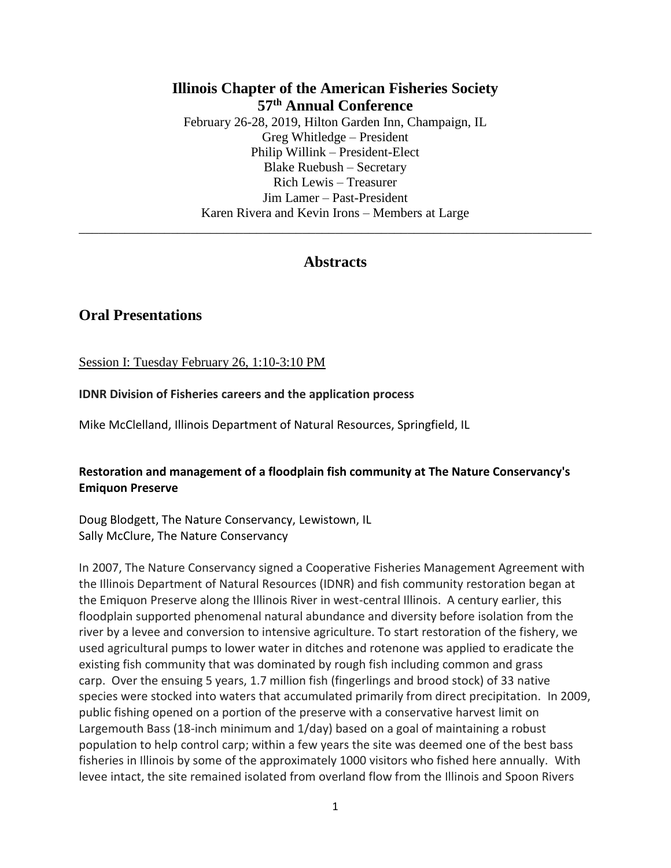## **Illinois Chapter of the American Fisheries Society 57 th Annual Conference** February 26-28, 2019, Hilton Garden Inn, Champaign, IL Greg Whitledge – President Philip Willink – President-Elect Blake Ruebush – Secretary Rich Lewis – Treasurer Jim Lamer – Past-President Karen Rivera and Kevin Irons – Members at Large

## **Abstracts**

\_\_\_\_\_\_\_\_\_\_\_\_\_\_\_\_\_\_\_\_\_\_\_\_\_\_\_\_\_\_\_\_\_\_\_\_\_\_\_\_\_\_\_\_\_\_\_\_\_\_\_\_\_\_\_\_\_\_\_\_\_\_\_\_\_\_\_\_\_\_\_\_\_\_\_\_\_\_

# **Oral Presentations**

Session I: Tuesday February 26, 1:10-3:10 PM

#### **IDNR Division of Fisheries careers and the application process**

Mike McClelland, Illinois Department of Natural Resources, Springfield, IL

#### **Restoration and management of a floodplain fish community at The Nature Conservancy's Emiquon Preserve**

Doug Blodgett, The Nature Conservancy, Lewistown, IL Sally McClure, The Nature Conservancy

In 2007, The Nature Conservancy signed a Cooperative Fisheries Management Agreement with the Illinois Department of Natural Resources (IDNR) and fish community restoration began at the Emiquon Preserve along the Illinois River in west-central Illinois. A century earlier, this floodplain supported phenomenal natural abundance and diversity before isolation from the river by a levee and conversion to intensive agriculture. To start restoration of the fishery, we used agricultural pumps to lower water in ditches and rotenone was applied to eradicate the existing fish community that was dominated by rough fish including common and grass carp. Over the ensuing 5 years, 1.7 million fish (fingerlings and brood stock) of 33 native species were stocked into waters that accumulated primarily from direct precipitation. In 2009, public fishing opened on a portion of the preserve with a conservative harvest limit on Largemouth Bass (18-inch minimum and 1/day) based on a goal of maintaining a robust population to help control carp; within a few years the site was deemed one of the best bass fisheries in Illinois by some of the approximately 1000 visitors who fished here annually. With levee intact, the site remained isolated from overland flow from the Illinois and Spoon Rivers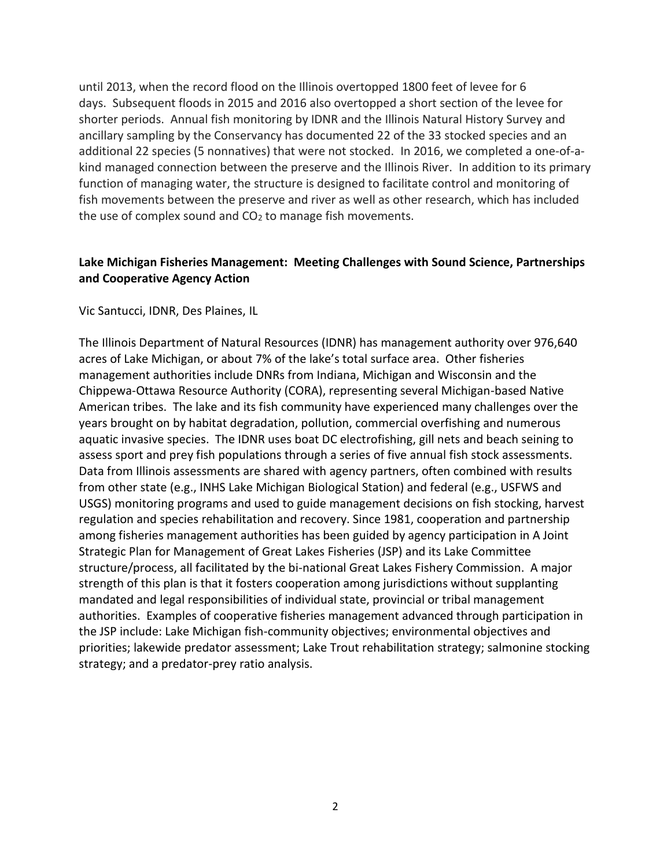until 2013, when the record flood on the Illinois overtopped 1800 feet of levee for 6 days. Subsequent floods in 2015 and 2016 also overtopped a short section of the levee for shorter periods. Annual fish monitoring by IDNR and the Illinois Natural History Survey and ancillary sampling by the Conservancy has documented 22 of the 33 stocked species and an additional 22 species (5 nonnatives) that were not stocked. In 2016, we completed a one-of-akind managed connection between the preserve and the Illinois River. In addition to its primary function of managing water, the structure is designed to facilitate control and monitoring of fish movements between the preserve and river as well as other research, which has included the use of complex sound and  $CO<sub>2</sub>$  to manage fish movements.

## **Lake Michigan Fisheries Management: Meeting Challenges with Sound Science, Partnerships and Cooperative Agency Action**

#### Vic Santucci, IDNR, Des Plaines, IL

The Illinois Department of Natural Resources (IDNR) has management authority over 976,640 acres of Lake Michigan, or about 7% of the lake's total surface area. Other fisheries management authorities include DNRs from Indiana, Michigan and Wisconsin and the Chippewa-Ottawa Resource Authority (CORA), representing several Michigan-based Native American tribes. The lake and its fish community have experienced many challenges over the years brought on by habitat degradation, pollution, commercial overfishing and numerous aquatic invasive species. The IDNR uses boat DC electrofishing, gill nets and beach seining to assess sport and prey fish populations through a series of five annual fish stock assessments. Data from Illinois assessments are shared with agency partners, often combined with results from other state (e.g., INHS Lake Michigan Biological Station) and federal (e.g., USFWS and USGS) monitoring programs and used to guide management decisions on fish stocking, harvest regulation and species rehabilitation and recovery. Since 1981, cooperation and partnership among fisheries management authorities has been guided by agency participation in A Joint Strategic Plan for Management of Great Lakes Fisheries (JSP) and its Lake Committee structure/process, all facilitated by the bi-national Great Lakes Fishery Commission. A major strength of this plan is that it fosters cooperation among jurisdictions without supplanting mandated and legal responsibilities of individual state, provincial or tribal management authorities. Examples of cooperative fisheries management advanced through participation in the JSP include: Lake Michigan fish-community objectives; environmental objectives and priorities; lakewide predator assessment; Lake Trout rehabilitation strategy; salmonine stocking strategy; and a predator-prey ratio analysis.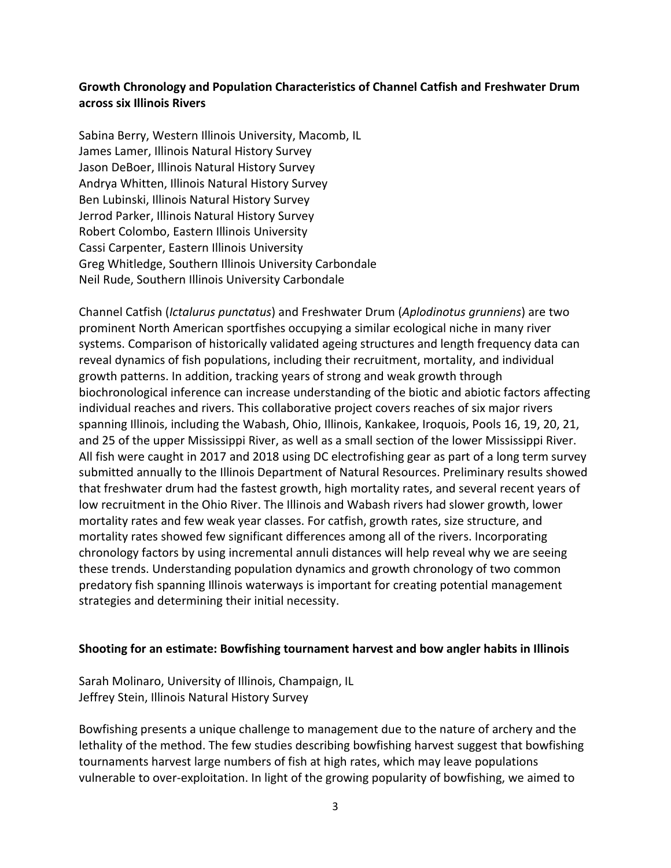## **Growth Chronology and Population Characteristics of Channel Catfish and Freshwater Drum across six Illinois Rivers**

Sabina Berry, Western Illinois University, Macomb, IL James Lamer, Illinois Natural History Survey Jason DeBoer, Illinois Natural History Survey Andrya Whitten, Illinois Natural History Survey Ben Lubinski, Illinois Natural History Survey Jerrod Parker, Illinois Natural History Survey Robert Colombo, Eastern Illinois University Cassi Carpenter, Eastern Illinois University Greg Whitledge, Southern Illinois University Carbondale Neil Rude, Southern Illinois University Carbondale

Channel Catfish (*Ictalurus punctatus*) and Freshwater Drum (*Aplodinotus grunniens*) are two prominent North American sportfishes occupying a similar ecological niche in many river systems. Comparison of historically validated ageing structures and length frequency data can reveal dynamics of fish populations, including their recruitment, mortality, and individual growth patterns. In addition, tracking years of strong and weak growth through biochronological inference can increase understanding of the biotic and abiotic factors affecting individual reaches and rivers. This collaborative project covers reaches of six major rivers spanning Illinois, including the Wabash, Ohio, Illinois, Kankakee, Iroquois, Pools 16, 19, 20, 21, and 25 of the upper Mississippi River, as well as a small section of the lower Mississippi River. All fish were caught in 2017 and 2018 using DC electrofishing gear as part of a long term survey submitted annually to the Illinois Department of Natural Resources. Preliminary results showed that freshwater drum had the fastest growth, high mortality rates, and several recent years of low recruitment in the Ohio River. The Illinois and Wabash rivers had slower growth, lower mortality rates and few weak year classes. For catfish, growth rates, size structure, and mortality rates showed few significant differences among all of the rivers. Incorporating chronology factors by using incremental annuli distances will help reveal why we are seeing these trends. Understanding population dynamics and growth chronology of two common predatory fish spanning Illinois waterways is important for creating potential management strategies and determining their initial necessity.

#### **Shooting for an estimate: Bowfishing tournament harvest and bow angler habits in Illinois**

Sarah Molinaro, University of Illinois, Champaign, IL Jeffrey Stein, Illinois Natural History Survey

Bowfishing presents a unique challenge to management due to the nature of archery and the lethality of the method. The few studies describing bowfishing harvest suggest that bowfishing tournaments harvest large numbers of fish at high rates, which may leave populations vulnerable to over-exploitation. In light of the growing popularity of bowfishing, we aimed to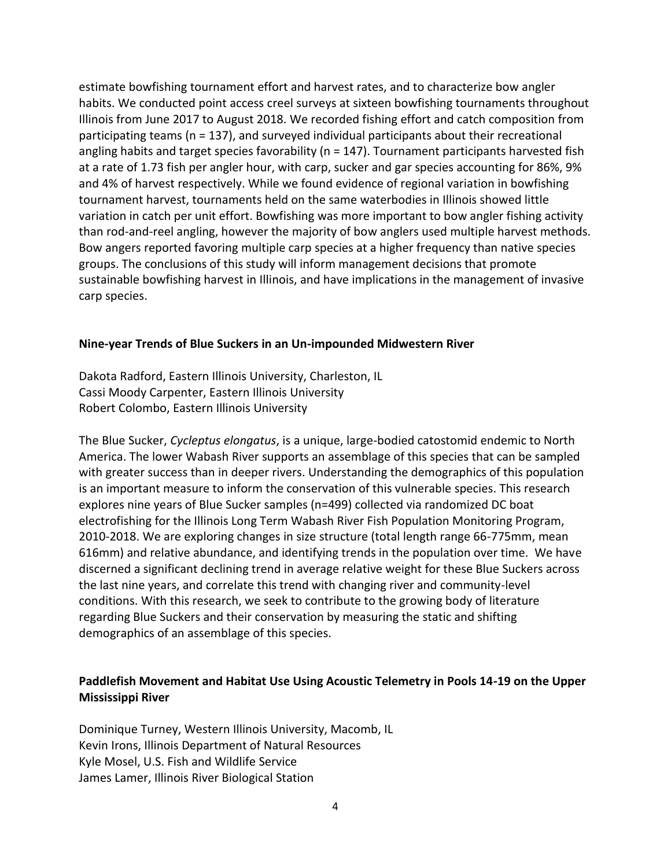estimate bowfishing tournament effort and harvest rates, and to characterize bow angler habits. We conducted point access creel surveys at sixteen bowfishing tournaments throughout Illinois from June 2017 to August 2018. We recorded fishing effort and catch composition from participating teams (n = 137), and surveyed individual participants about their recreational angling habits and target species favorability (n = 147). Tournament participants harvested fish at a rate of 1.73 fish per angler hour, with carp, sucker and gar species accounting for 86%, 9% and 4% of harvest respectively. While we found evidence of regional variation in bowfishing tournament harvest, tournaments held on the same waterbodies in Illinois showed little variation in catch per unit effort. Bowfishing was more important to bow angler fishing activity than rod-and-reel angling, however the majority of bow anglers used multiple harvest methods. Bow angers reported favoring multiple carp species at a higher frequency than native species groups. The conclusions of this study will inform management decisions that promote sustainable bowfishing harvest in Illinois, and have implications in the management of invasive carp species.

#### **Nine-year Trends of Blue Suckers in an Un-impounded Midwestern River**

Dakota Radford, Eastern Illinois University, Charleston, IL Cassi Moody Carpenter, Eastern Illinois University Robert Colombo, Eastern Illinois University

The Blue Sucker, *Cycleptus elongatus*, is a unique, large-bodied catostomid endemic to North America. The lower Wabash River supports an assemblage of this species that can be sampled with greater success than in deeper rivers. Understanding the demographics of this population is an important measure to inform the conservation of this vulnerable species. This research explores nine years of Blue Sucker samples (n=499) collected via randomized DC boat electrofishing for the Illinois Long Term Wabash River Fish Population Monitoring Program, 2010-2018. We are exploring changes in size structure (total length range 66-775mm, mean 616mm) and relative abundance, and identifying trends in the population over time. We have discerned a significant declining trend in average relative weight for these Blue Suckers across the last nine years, and correlate this trend with changing river and community-level conditions. With this research, we seek to contribute to the growing body of literature regarding Blue Suckers and their conservation by measuring the static and shifting demographics of an assemblage of this species.

## **Paddlefish Movement and Habitat Use Using Acoustic Telemetry in Pools 14-19 on the Upper Mississippi River**

Dominique Turney, Western Illinois University, Macomb, IL Kevin Irons, Illinois Department of Natural Resources Kyle Mosel, U.S. Fish and Wildlife Service James Lamer, Illinois River Biological Station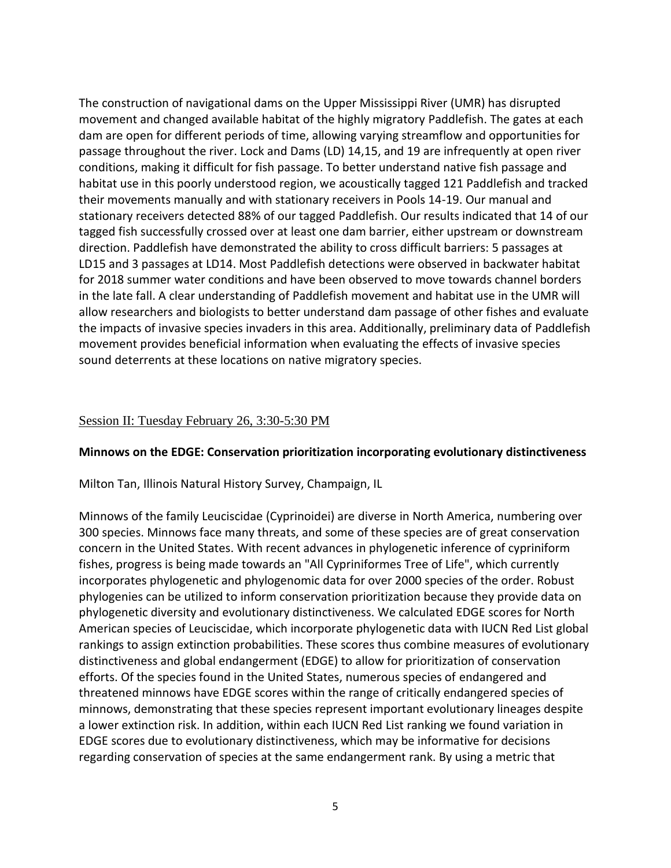The construction of navigational dams on the Upper Mississippi River (UMR) has disrupted movement and changed available habitat of the highly migratory Paddlefish. The gates at each dam are open for different periods of time, allowing varying streamflow and opportunities for passage throughout the river. Lock and Dams (LD) 14,15, and 19 are infrequently at open river conditions, making it difficult for fish passage. To better understand native fish passage and habitat use in this poorly understood region, we acoustically tagged 121 Paddlefish and tracked their movements manually and with stationary receivers in Pools 14-19. Our manual and stationary receivers detected 88% of our tagged Paddlefish. Our results indicated that 14 of our tagged fish successfully crossed over at least one dam barrier, either upstream or downstream direction. Paddlefish have demonstrated the ability to cross difficult barriers: 5 passages at LD15 and 3 passages at LD14. Most Paddlefish detections were observed in backwater habitat for 2018 summer water conditions and have been observed to move towards channel borders in the late fall. A clear understanding of Paddlefish movement and habitat use in the UMR will allow researchers and biologists to better understand dam passage of other fishes and evaluate the impacts of invasive species invaders in this area. Additionally, preliminary data of Paddlefish movement provides beneficial information when evaluating the effects of invasive species sound deterrents at these locations on native migratory species.

#### Session II: Tuesday February 26, 3:30-5:30 PM

#### **Minnows on the EDGE: Conservation prioritization incorporating evolutionary distinctiveness**

Milton Tan, Illinois Natural History Survey, Champaign, IL

Minnows of the family Leuciscidae (Cyprinoidei) are diverse in North America, numbering over 300 species. Minnows face many threats, and some of these species are of great conservation concern in the United States. With recent advances in phylogenetic inference of cypriniform fishes, progress is being made towards an "All Cypriniformes Tree of Life", which currently incorporates phylogenetic and phylogenomic data for over 2000 species of the order. Robust phylogenies can be utilized to inform conservation prioritization because they provide data on phylogenetic diversity and evolutionary distinctiveness. We calculated EDGE scores for North American species of Leuciscidae, which incorporate phylogenetic data with IUCN Red List global rankings to assign extinction probabilities. These scores thus combine measures of evolutionary distinctiveness and global endangerment (EDGE) to allow for prioritization of conservation efforts. Of the species found in the United States, numerous species of endangered and threatened minnows have EDGE scores within the range of critically endangered species of minnows, demonstrating that these species represent important evolutionary lineages despite a lower extinction risk. In addition, within each IUCN Red List ranking we found variation in EDGE scores due to evolutionary distinctiveness, which may be informative for decisions regarding conservation of species at the same endangerment rank. By using a metric that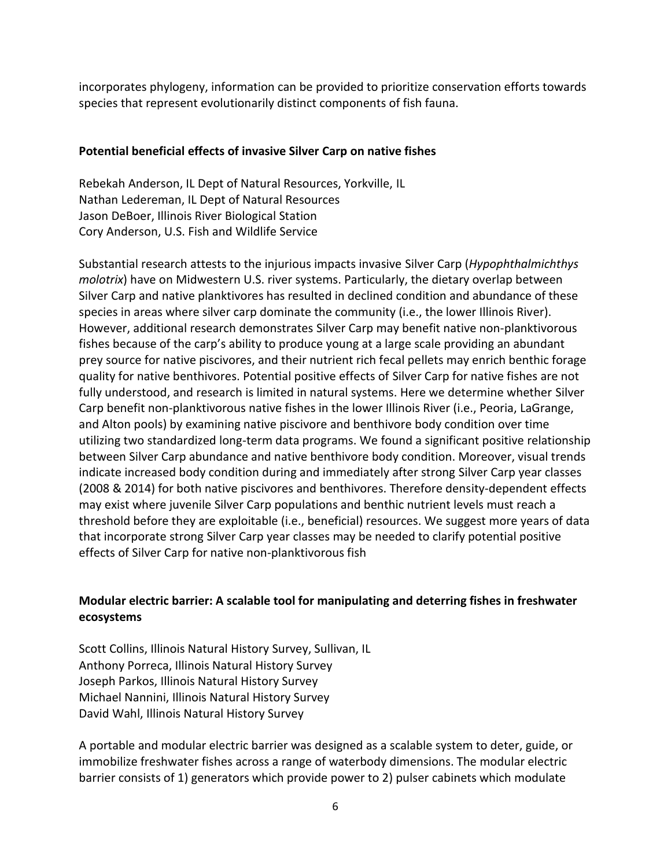incorporates phylogeny, information can be provided to prioritize conservation efforts towards species that represent evolutionarily distinct components of fish fauna.

### **Potential beneficial effects of invasive Silver Carp on native fishes**

Rebekah Anderson, IL Dept of Natural Resources, Yorkville, IL Nathan Ledereman, IL Dept of Natural Resources Jason DeBoer, Illinois River Biological Station Cory Anderson, U.S. Fish and Wildlife Service

Substantial research attests to the injurious impacts invasive Silver Carp (*Hypophthalmichthys molotrix*) have on Midwestern U.S. river systems. Particularly, the dietary overlap between Silver Carp and native planktivores has resulted in declined condition and abundance of these species in areas where silver carp dominate the community (i.e., the lower Illinois River). However, additional research demonstrates Silver Carp may benefit native non-planktivorous fishes because of the carp's ability to produce young at a large scale providing an abundant prey source for native piscivores, and their nutrient rich fecal pellets may enrich benthic forage quality for native benthivores. Potential positive effects of Silver Carp for native fishes are not fully understood, and research is limited in natural systems. Here we determine whether Silver Carp benefit non-planktivorous native fishes in the lower Illinois River (i.e., Peoria, LaGrange, and Alton pools) by examining native piscivore and benthivore body condition over time utilizing two standardized long-term data programs. We found a significant positive relationship between Silver Carp abundance and native benthivore body condition. Moreover, visual trends indicate increased body condition during and immediately after strong Silver Carp year classes (2008 & 2014) for both native piscivores and benthivores. Therefore density-dependent effects may exist where juvenile Silver Carp populations and benthic nutrient levels must reach a threshold before they are exploitable (i.e., beneficial) resources. We suggest more years of data that incorporate strong Silver Carp year classes may be needed to clarify potential positive effects of Silver Carp for native non-planktivorous fish

# **Modular electric barrier: A scalable tool for manipulating and deterring fishes in freshwater ecosystems**

Scott Collins, Illinois Natural History Survey, Sullivan, IL Anthony Porreca, Illinois Natural History Survey Joseph Parkos, Illinois Natural History Survey Michael Nannini, Illinois Natural History Survey David Wahl, Illinois Natural History Survey

A portable and modular electric barrier was designed as a scalable system to deter, guide, or immobilize freshwater fishes across a range of waterbody dimensions. The modular electric barrier consists of 1) generators which provide power to 2) pulser cabinets which modulate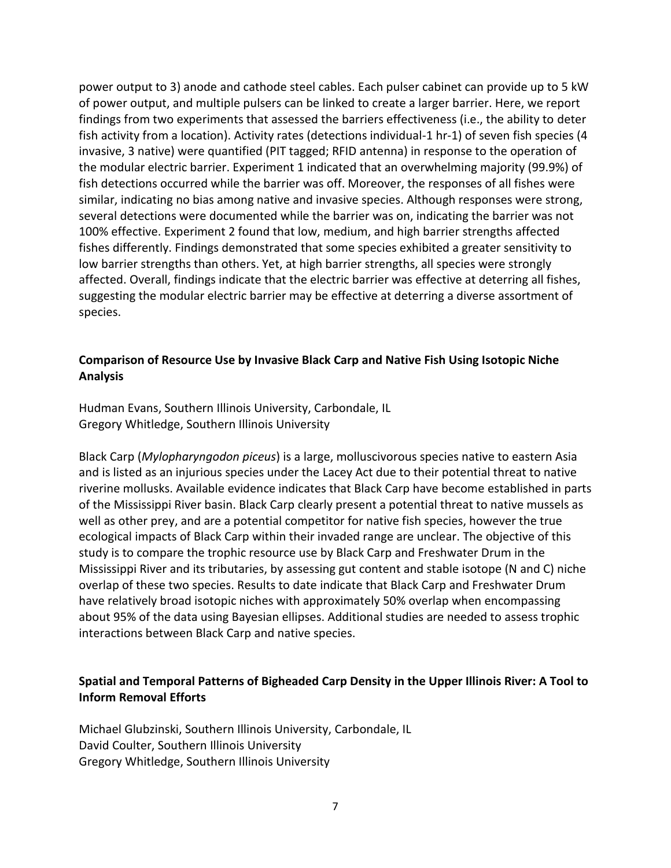power output to 3) anode and cathode steel cables. Each pulser cabinet can provide up to 5 kW of power output, and multiple pulsers can be linked to create a larger barrier. Here, we report findings from two experiments that assessed the barriers effectiveness (i.e., the ability to deter fish activity from a location). Activity rates (detections individual-1 hr-1) of seven fish species (4 invasive, 3 native) were quantified (PIT tagged; RFID antenna) in response to the operation of the modular electric barrier. Experiment 1 indicated that an overwhelming majority (99.9%) of fish detections occurred while the barrier was off. Moreover, the responses of all fishes were similar, indicating no bias among native and invasive species. Although responses were strong, several detections were documented while the barrier was on, indicating the barrier was not 100% effective. Experiment 2 found that low, medium, and high barrier strengths affected fishes differently. Findings demonstrated that some species exhibited a greater sensitivity to low barrier strengths than others. Yet, at high barrier strengths, all species were strongly affected. Overall, findings indicate that the electric barrier was effective at deterring all fishes, suggesting the modular electric barrier may be effective at deterring a diverse assortment of species.

### **Comparison of Resource Use by Invasive Black Carp and Native Fish Using Isotopic Niche Analysis**

Hudman Evans, Southern Illinois University, Carbondale, IL Gregory Whitledge, Southern Illinois University

Black Carp (*Mylopharyngodon piceus*) is a large, molluscivorous species native to eastern Asia and is listed as an injurious species under the Lacey Act due to their potential threat to native riverine mollusks. Available evidence indicates that Black Carp have become established in parts of the Mississippi River basin. Black Carp clearly present a potential threat to native mussels as well as other prey, and are a potential competitor for native fish species, however the true ecological impacts of Black Carp within their invaded range are unclear. The objective of this study is to compare the trophic resource use by Black Carp and Freshwater Drum in the Mississippi River and its tributaries, by assessing gut content and stable isotope (N and C) niche overlap of these two species. Results to date indicate that Black Carp and Freshwater Drum have relatively broad isotopic niches with approximately 50% overlap when encompassing about 95% of the data using Bayesian ellipses. Additional studies are needed to assess trophic interactions between Black Carp and native species.

## **Spatial and Temporal Patterns of Bigheaded Carp Density in the Upper Illinois River: A Tool to Inform Removal Efforts**

Michael Glubzinski, Southern Illinois University, Carbondale, IL David Coulter, Southern Illinois University Gregory Whitledge, Southern Illinois University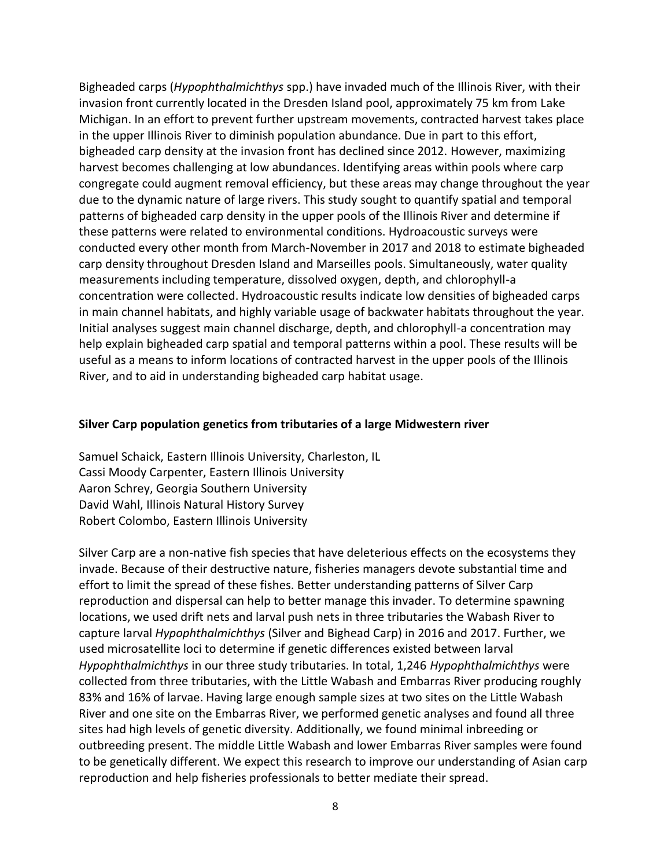Bigheaded carps (*Hypophthalmichthys* spp.) have invaded much of the Illinois River, with their invasion front currently located in the Dresden Island pool, approximately 75 km from Lake Michigan. In an effort to prevent further upstream movements, contracted harvest takes place in the upper Illinois River to diminish population abundance. Due in part to this effort, bigheaded carp density at the invasion front has declined since 2012. However, maximizing harvest becomes challenging at low abundances. Identifying areas within pools where carp congregate could augment removal efficiency, but these areas may change throughout the year due to the dynamic nature of large rivers. This study sought to quantify spatial and temporal patterns of bigheaded carp density in the upper pools of the Illinois River and determine if these patterns were related to environmental conditions. Hydroacoustic surveys were conducted every other month from March-November in 2017 and 2018 to estimate bigheaded carp density throughout Dresden Island and Marseilles pools. Simultaneously, water quality measurements including temperature, dissolved oxygen, depth, and chlorophyll-a concentration were collected. Hydroacoustic results indicate low densities of bigheaded carps in main channel habitats, and highly variable usage of backwater habitats throughout the year. Initial analyses suggest main channel discharge, depth, and chlorophyll-a concentration may help explain bigheaded carp spatial and temporal patterns within a pool. These results will be useful as a means to inform locations of contracted harvest in the upper pools of the Illinois River, and to aid in understanding bigheaded carp habitat usage.

#### **Silver Carp population genetics from tributaries of a large Midwestern river**

Samuel Schaick, Eastern Illinois University, Charleston, IL Cassi Moody Carpenter, Eastern Illinois University Aaron Schrey, Georgia Southern University David Wahl, Illinois Natural History Survey Robert Colombo, Eastern Illinois University

Silver Carp are a non-native fish species that have deleterious effects on the ecosystems they invade. Because of their destructive nature, fisheries managers devote substantial time and effort to limit the spread of these fishes. Better understanding patterns of Silver Carp reproduction and dispersal can help to better manage this invader. To determine spawning locations, we used drift nets and larval push nets in three tributaries the Wabash River to capture larval *Hypophthalmichthys* (Silver and Bighead Carp) in 2016 and 2017. Further, we used microsatellite loci to determine if genetic differences existed between larval *Hypophthalmichthys* in our three study tributaries. In total, 1,246 *Hypophthalmichthys* were collected from three tributaries, with the Little Wabash and Embarras River producing roughly 83% and 16% of larvae. Having large enough sample sizes at two sites on the Little Wabash River and one site on the Embarras River, we performed genetic analyses and found all three sites had high levels of genetic diversity. Additionally, we found minimal inbreeding or outbreeding present. The middle Little Wabash and lower Embarras River samples were found to be genetically different. We expect this research to improve our understanding of Asian carp reproduction and help fisheries professionals to better mediate their spread.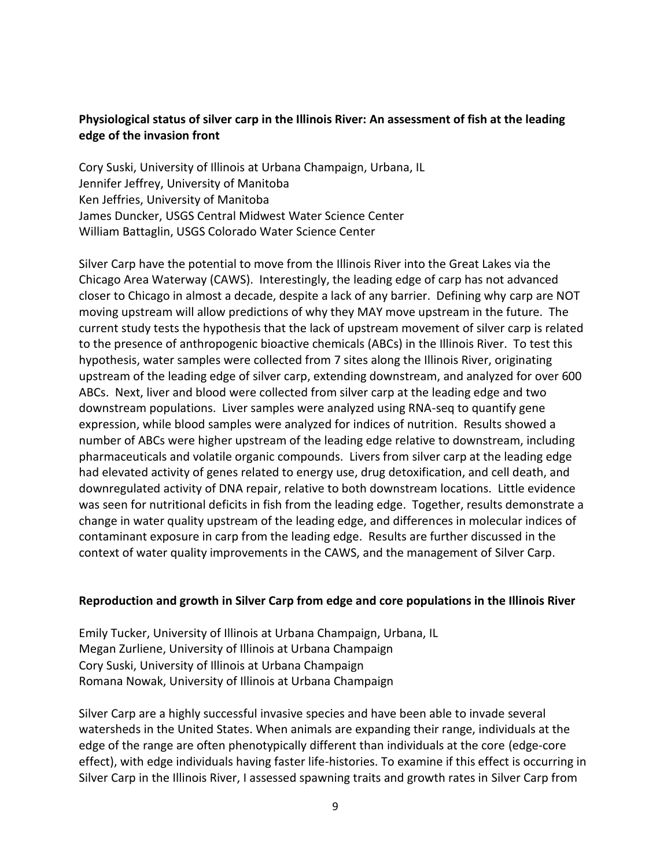## **Physiological status of silver carp in the Illinois River: An assessment of fish at the leading edge of the invasion front**

Cory Suski, University of Illinois at Urbana Champaign, Urbana, IL Jennifer Jeffrey, University of Manitoba Ken Jeffries, University of Manitoba James Duncker, USGS Central Midwest Water Science Center William Battaglin, USGS Colorado Water Science Center

Silver Carp have the potential to move from the Illinois River into the Great Lakes via the Chicago Area Waterway (CAWS). Interestingly, the leading edge of carp has not advanced closer to Chicago in almost a decade, despite a lack of any barrier. Defining why carp are NOT moving upstream will allow predictions of why they MAY move upstream in the future. The current study tests the hypothesis that the lack of upstream movement of silver carp is related to the presence of anthropogenic bioactive chemicals (ABCs) in the Illinois River. To test this hypothesis, water samples were collected from 7 sites along the Illinois River, originating upstream of the leading edge of silver carp, extending downstream, and analyzed for over 600 ABCs. Next, liver and blood were collected from silver carp at the leading edge and two downstream populations. Liver samples were analyzed using RNA-seq to quantify gene expression, while blood samples were analyzed for indices of nutrition. Results showed a number of ABCs were higher upstream of the leading edge relative to downstream, including pharmaceuticals and volatile organic compounds. Livers from silver carp at the leading edge had elevated activity of genes related to energy use, drug detoxification, and cell death, and downregulated activity of DNA repair, relative to both downstream locations. Little evidence was seen for nutritional deficits in fish from the leading edge. Together, results demonstrate a change in water quality upstream of the leading edge, and differences in molecular indices of contaminant exposure in carp from the leading edge. Results are further discussed in the context of water quality improvements in the CAWS, and the management of Silver Carp.

#### **Reproduction and growth in Silver Carp from edge and core populations in the Illinois River**

Emily Tucker, University of Illinois at Urbana Champaign, Urbana, IL Megan Zurliene, University of Illinois at Urbana Champaign Cory Suski, University of Illinois at Urbana Champaign Romana Nowak, University of Illinois at Urbana Champaign

Silver Carp are a highly successful invasive species and have been able to invade several watersheds in the United States. When animals are expanding their range, individuals at the edge of the range are often phenotypically different than individuals at the core (edge-core effect), with edge individuals having faster life-histories. To examine if this effect is occurring in Silver Carp in the Illinois River, I assessed spawning traits and growth rates in Silver Carp from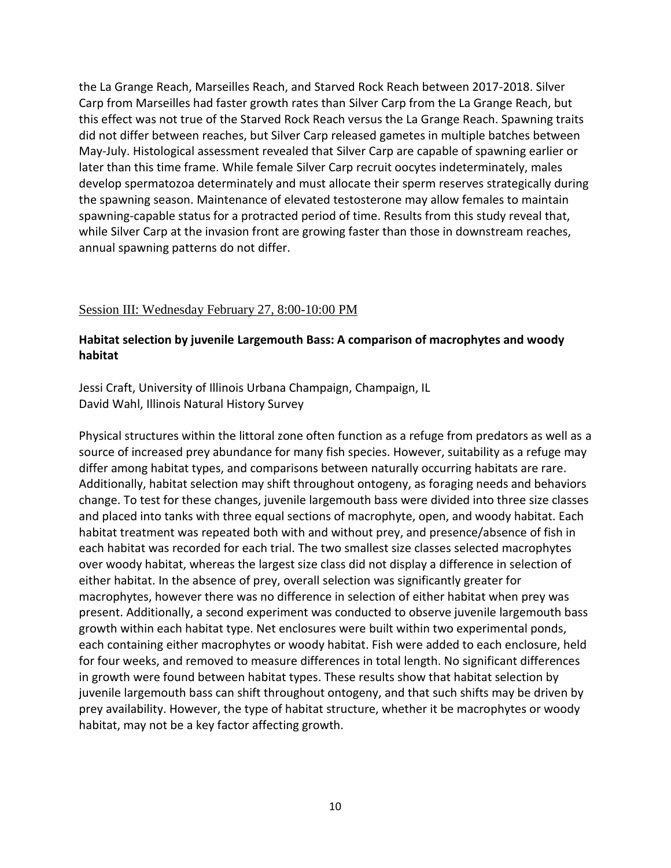the La Grange Reach, Marseilles Reach, and Starved Rock Reach between 2017-2018. Silver Carp from Marseilles had faster growth rates than Silver Carp from the La Grange Reach, but this effect was not true of the Starved Rock Reach versus the La Grange Reach. Spawning traits did not differ between reaches, but Silver Carp released gametes in multiple batches between May-July. Histological assessment revealed that Silver Carp are capable of spawning earlier or later than this time frame. While female Silver Carp recruit oocytes indeterminately, males develop spermatozoa determinately and must allocate their sperm reserves strategically during the spawning season. Maintenance of elevated testosterone may allow females to maintain spawning-capable status for a protracted period of time. Results from this study reveal that, while Silver Carp at the invasion front are growing faster than those in downstream reaches, annual spawning patterns do not differ.

#### Session III: Wednesday February 27, 8:00-10:00 PM

## **Habitat selection by juvenile Largemouth Bass: A comparison of macrophytes and woody habitat**

Jessi Craft, University of Illinois Urbana Champaign, Champaign, IL David Wahl, Illinois Natural History Survey

Physical structures within the littoral zone often function as a refuge from predators as well as a source of increased prey abundance for many fish species. However, suitability as a refuge may differ among habitat types, and comparisons between naturally occurring habitats are rare. Additionally, habitat selection may shift throughout ontogeny, as foraging needs and behaviors change. To test for these changes, juvenile largemouth bass were divided into three size classes and placed into tanks with three equal sections of macrophyte, open, and woody habitat. Each habitat treatment was repeated both with and without prey, and presence/absence of fish in each habitat was recorded for each trial. The two smallest size classes selected macrophytes over woody habitat, whereas the largest size class did not display a difference in selection of either habitat. In the absence of prey, overall selection was significantly greater for macrophytes, however there was no difference in selection of either habitat when prey was present. Additionally, a second experiment was conducted to observe juvenile largemouth bass growth within each habitat type. Net enclosures were built within two experimental ponds, each containing either macrophytes or woody habitat. Fish were added to each enclosure, held for four weeks, and removed to measure differences in total length. No significant differences in growth were found between habitat types. These results show that habitat selection by juvenile largemouth bass can shift throughout ontogeny, and that such shifts may be driven by prey availability. However, the type of habitat structure, whether it be macrophytes or woody habitat, may not be a key factor affecting growth.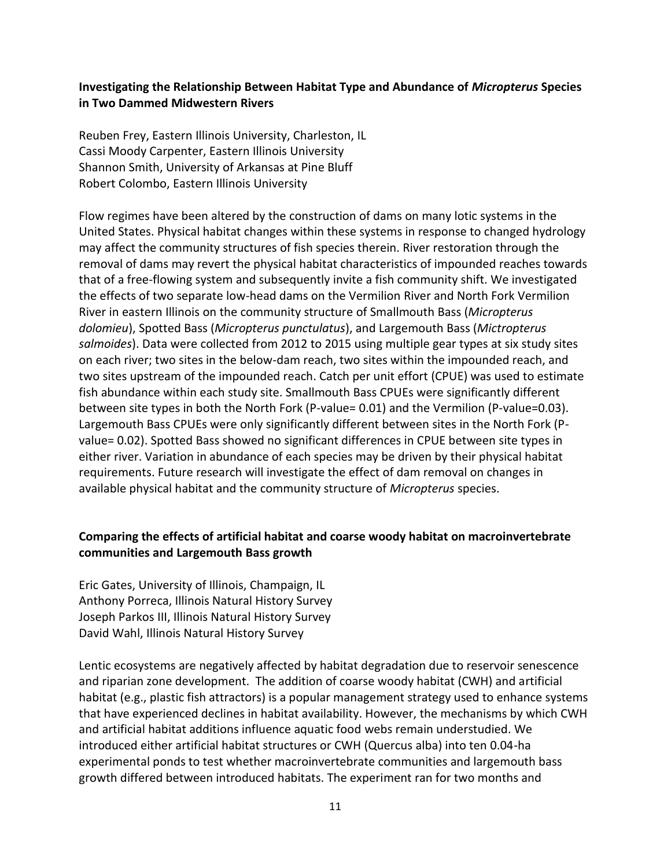## **Investigating the Relationship Between Habitat Type and Abundance of** *Micropterus* **Species in Two Dammed Midwestern Rivers**

Reuben Frey, Eastern Illinois University, Charleston, IL Cassi Moody Carpenter, Eastern Illinois University Shannon Smith, University of Arkansas at Pine Bluff Robert Colombo, Eastern Illinois University

Flow regimes have been altered by the construction of dams on many lotic systems in the United States. Physical habitat changes within these systems in response to changed hydrology may affect the community structures of fish species therein. River restoration through the removal of dams may revert the physical habitat characteristics of impounded reaches towards that of a free-flowing system and subsequently invite a fish community shift. We investigated the effects of two separate low-head dams on the Vermilion River and North Fork Vermilion River in eastern Illinois on the community structure of Smallmouth Bass (*Micropterus dolomieu*), Spotted Bass (*Micropterus punctulatus*), and Largemouth Bass (*Mictropterus salmoides*). Data were collected from 2012 to 2015 using multiple gear types at six study sites on each river; two sites in the below-dam reach, two sites within the impounded reach, and two sites upstream of the impounded reach. Catch per unit effort (CPUE) was used to estimate fish abundance within each study site. Smallmouth Bass CPUEs were significantly different between site types in both the North Fork (P-value= 0.01) and the Vermilion (P-value=0.03). Largemouth Bass CPUEs were only significantly different between sites in the North Fork (Pvalue= 0.02). Spotted Bass showed no significant differences in CPUE between site types in either river. Variation in abundance of each species may be driven by their physical habitat requirements. Future research will investigate the effect of dam removal on changes in available physical habitat and the community structure of *Micropterus* species.

## **Comparing the effects of artificial habitat and coarse woody habitat on macroinvertebrate communities and Largemouth Bass growth**

Eric Gates, University of Illinois, Champaign, IL Anthony Porreca, Illinois Natural History Survey Joseph Parkos III, Illinois Natural History Survey David Wahl, Illinois Natural History Survey

Lentic ecosystems are negatively affected by habitat degradation due to reservoir senescence and riparian zone development. The addition of coarse woody habitat (CWH) and artificial habitat (e.g., plastic fish attractors) is a popular management strategy used to enhance systems that have experienced declines in habitat availability. However, the mechanisms by which CWH and artificial habitat additions influence aquatic food webs remain understudied. We introduced either artificial habitat structures or CWH (Quercus alba) into ten 0.04-ha experimental ponds to test whether macroinvertebrate communities and largemouth bass growth differed between introduced habitats. The experiment ran for two months and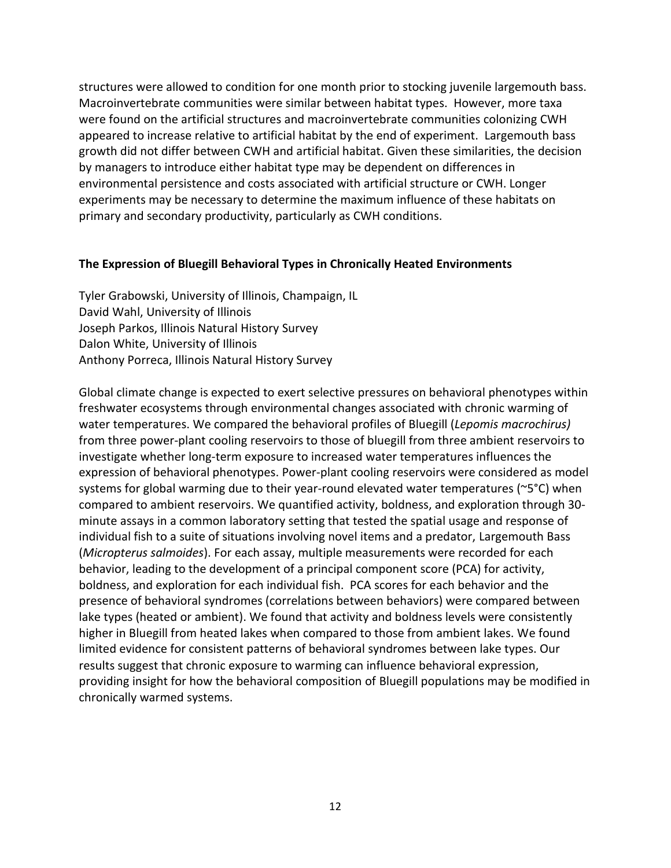structures were allowed to condition for one month prior to stocking juvenile largemouth bass. Macroinvertebrate communities were similar between habitat types. However, more taxa were found on the artificial structures and macroinvertebrate communities colonizing CWH appeared to increase relative to artificial habitat by the end of experiment. Largemouth bass growth did not differ between CWH and artificial habitat. Given these similarities, the decision by managers to introduce either habitat type may be dependent on differences in environmental persistence and costs associated with artificial structure or CWH. Longer experiments may be necessary to determine the maximum influence of these habitats on primary and secondary productivity, particularly as CWH conditions.

#### **The Expression of Bluegill Behavioral Types in Chronically Heated Environments**

Tyler Grabowski, University of Illinois, Champaign, IL David Wahl, University of Illinois Joseph Parkos, Illinois Natural History Survey Dalon White, University of Illinois Anthony Porreca, Illinois Natural History Survey

Global climate change is expected to exert selective pressures on behavioral phenotypes within freshwater ecosystems through environmental changes associated with chronic warming of water temperatures. We compared the behavioral profiles of Bluegill (*Lepomis macrochirus)* from three power-plant cooling reservoirs to those of bluegill from three ambient reservoirs to investigate whether long-term exposure to increased water temperatures influences the expression of behavioral phenotypes. Power-plant cooling reservoirs were considered as model systems for global warming due to their year-round elevated water temperatures (~5°C) when compared to ambient reservoirs. We quantified activity, boldness, and exploration through 30 minute assays in a common laboratory setting that tested the spatial usage and response of individual fish to a suite of situations involving novel items and a predator, Largemouth Bass (*Micropterus salmoides*). For each assay, multiple measurements were recorded for each behavior, leading to the development of a principal component score (PCA) for activity, boldness, and exploration for each individual fish. PCA scores for each behavior and the presence of behavioral syndromes (correlations between behaviors) were compared between lake types (heated or ambient). We found that activity and boldness levels were consistently higher in Bluegill from heated lakes when compared to those from ambient lakes. We found limited evidence for consistent patterns of behavioral syndromes between lake types. Our results suggest that chronic exposure to warming can influence behavioral expression, providing insight for how the behavioral composition of Bluegill populations may be modified in chronically warmed systems.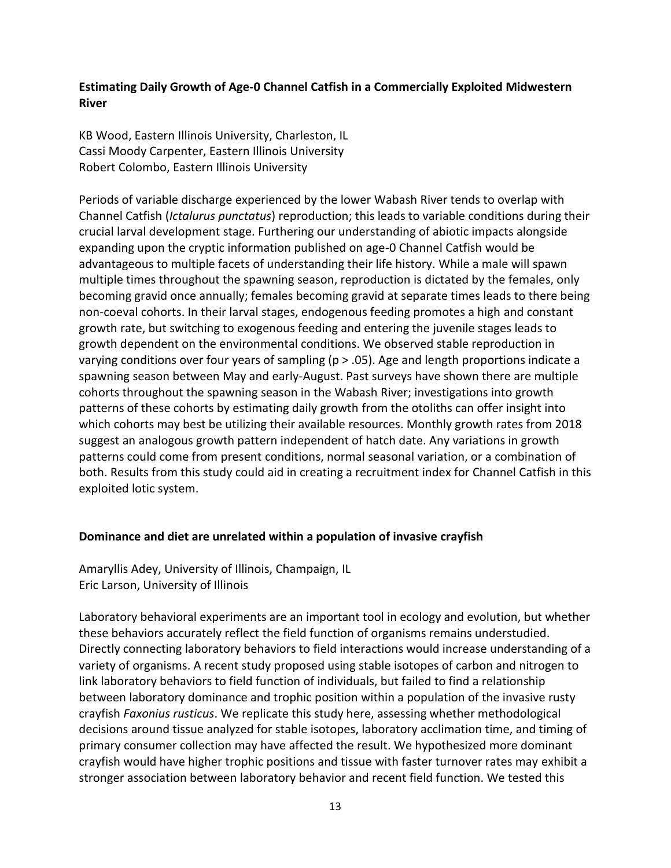**Estimating Daily Growth of Age-0 Channel Catfish in a Commercially Exploited Midwestern River**

KB Wood, Eastern Illinois University, Charleston, IL Cassi Moody Carpenter, Eastern Illinois University Robert Colombo, Eastern Illinois University

Periods of variable discharge experienced by the lower Wabash River tends to overlap with Channel Catfish (*Ictalurus punctatus*) reproduction; this leads to variable conditions during their crucial larval development stage. Furthering our understanding of abiotic impacts alongside expanding upon the cryptic information published on age-0 Channel Catfish would be advantageous to multiple facets of understanding their life history. While a male will spawn multiple times throughout the spawning season, reproduction is dictated by the females, only becoming gravid once annually; females becoming gravid at separate times leads to there being non-coeval cohorts. In their larval stages, endogenous feeding promotes a high and constant growth rate, but switching to exogenous feeding and entering the juvenile stages leads to growth dependent on the environmental conditions. We observed stable reproduction in varying conditions over four years of sampling ( $p > .05$ ). Age and length proportions indicate a spawning season between May and early-August. Past surveys have shown there are multiple cohorts throughout the spawning season in the Wabash River; investigations into growth patterns of these cohorts by estimating daily growth from the otoliths can offer insight into which cohorts may best be utilizing their available resources. Monthly growth rates from 2018 suggest an analogous growth pattern independent of hatch date. Any variations in growth patterns could come from present conditions, normal seasonal variation, or a combination of both. Results from this study could aid in creating a recruitment index for Channel Catfish in this exploited lotic system.

## **Dominance and diet are unrelated within a population of invasive crayfish**

Amaryllis Adey, University of Illinois, Champaign, IL Eric Larson, University of Illinois

Laboratory behavioral experiments are an important tool in ecology and evolution, but whether these behaviors accurately reflect the field function of organisms remains understudied. Directly connecting laboratory behaviors to field interactions would increase understanding of a variety of organisms. A recent study proposed using stable isotopes of carbon and nitrogen to link laboratory behaviors to field function of individuals, but failed to find a relationship between laboratory dominance and trophic position within a population of the invasive rusty crayfish *Faxonius rusticus*. We replicate this study here, assessing whether methodological decisions around tissue analyzed for stable isotopes, laboratory acclimation time, and timing of primary consumer collection may have affected the result. We hypothesized more dominant crayfish would have higher trophic positions and tissue with faster turnover rates may exhibit a stronger association between laboratory behavior and recent field function. We tested this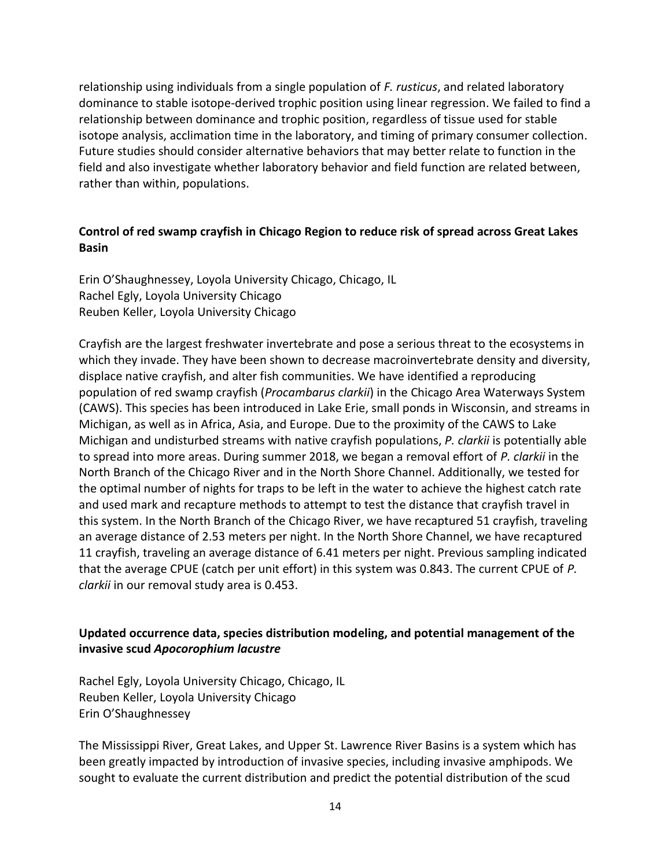relationship using individuals from a single population of *F. rusticus*, and related laboratory dominance to stable isotope-derived trophic position using linear regression. We failed to find a relationship between dominance and trophic position, regardless of tissue used for stable isotope analysis, acclimation time in the laboratory, and timing of primary consumer collection. Future studies should consider alternative behaviors that may better relate to function in the field and also investigate whether laboratory behavior and field function are related between, rather than within, populations.

## **Control of red swamp crayfish in Chicago Region to reduce risk of spread across Great Lakes Basin**

Erin O'Shaughnessey, Loyola University Chicago, Chicago, IL Rachel Egly, Loyola University Chicago Reuben Keller, Loyola University Chicago

Crayfish are the largest freshwater invertebrate and pose a serious threat to the ecosystems in which they invade. They have been shown to decrease macroinvertebrate density and diversity, displace native crayfish, and alter fish communities. We have identified a reproducing population of red swamp crayfish (*Procambarus clarkii*) in the Chicago Area Waterways System (CAWS). This species has been introduced in Lake Erie, small ponds in Wisconsin, and streams in Michigan, as well as in Africa, Asia, and Europe. Due to the proximity of the CAWS to Lake Michigan and undisturbed streams with native crayfish populations, *P. clarkii* is potentially able to spread into more areas. During summer 2018, we began a removal effort of *P. clarkii* in the North Branch of the Chicago River and in the North Shore Channel. Additionally, we tested for the optimal number of nights for traps to be left in the water to achieve the highest catch rate and used mark and recapture methods to attempt to test the distance that crayfish travel in this system. In the North Branch of the Chicago River, we have recaptured 51 crayfish, traveling an average distance of 2.53 meters per night. In the North Shore Channel, we have recaptured 11 crayfish, traveling an average distance of 6.41 meters per night. Previous sampling indicated that the average CPUE (catch per unit effort) in this system was 0.843. The current CPUE of *P. clarkii* in our removal study area is 0.453.

## **Updated occurrence data, species distribution modeling, and potential management of the invasive scud** *Apocorophium lacustre*

Rachel Egly, Loyola University Chicago, Chicago, IL Reuben Keller, Loyola University Chicago Erin O'Shaughnessey

The Mississippi River, Great Lakes, and Upper St. Lawrence River Basins is a system which has been greatly impacted by introduction of invasive species, including invasive amphipods. We sought to evaluate the current distribution and predict the potential distribution of the scud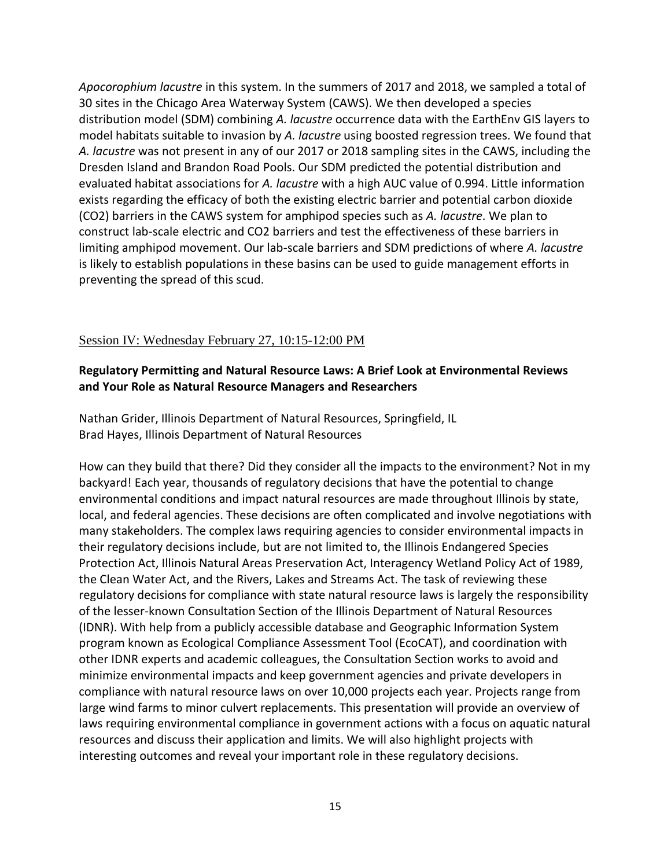*Apocorophium lacustre* in this system. In the summers of 2017 and 2018, we sampled a total of 30 sites in the Chicago Area Waterway System (CAWS). We then developed a species distribution model (SDM) combining *A. lacustre* occurrence data with the EarthEnv GIS layers to model habitats suitable to invasion by *A. lacustre* using boosted regression trees. We found that *A. lacustre* was not present in any of our 2017 or 2018 sampling sites in the CAWS, including the Dresden Island and Brandon Road Pools. Our SDM predicted the potential distribution and evaluated habitat associations for *A. lacustre* with a high AUC value of 0.994. Little information exists regarding the efficacy of both the existing electric barrier and potential carbon dioxide (CO2) barriers in the CAWS system for amphipod species such as *A. lacustre*. We plan to construct lab-scale electric and CO2 barriers and test the effectiveness of these barriers in limiting amphipod movement. Our lab-scale barriers and SDM predictions of where *A. lacustre* is likely to establish populations in these basins can be used to guide management efforts in preventing the spread of this scud.

### Session IV: Wednesday February 27, 10:15-12:00 PM

### **Regulatory Permitting and Natural Resource Laws: A Brief Look at Environmental Reviews and Your Role as Natural Resource Managers and Researchers**

Nathan Grider, Illinois Department of Natural Resources, Springfield, IL Brad Hayes, Illinois Department of Natural Resources

How can they build that there? Did they consider all the impacts to the environment? Not in my backyard! Each year, thousands of regulatory decisions that have the potential to change environmental conditions and impact natural resources are made throughout Illinois by state, local, and federal agencies. These decisions are often complicated and involve negotiations with many stakeholders. The complex laws requiring agencies to consider environmental impacts in their regulatory decisions include, but are not limited to, the Illinois Endangered Species Protection Act, Illinois Natural Areas Preservation Act, Interagency Wetland Policy Act of 1989, the Clean Water Act, and the Rivers, Lakes and Streams Act. The task of reviewing these regulatory decisions for compliance with state natural resource laws is largely the responsibility of the lesser-known Consultation Section of the Illinois Department of Natural Resources (IDNR). With help from a publicly accessible database and Geographic Information System program known as Ecological Compliance Assessment Tool (EcoCAT), and coordination with other IDNR experts and academic colleagues, the Consultation Section works to avoid and minimize environmental impacts and keep government agencies and private developers in compliance with natural resource laws on over 10,000 projects each year. Projects range from large wind farms to minor culvert replacements. This presentation will provide an overview of laws requiring environmental compliance in government actions with a focus on aquatic natural resources and discuss their application and limits. We will also highlight projects with interesting outcomes and reveal your important role in these regulatory decisions.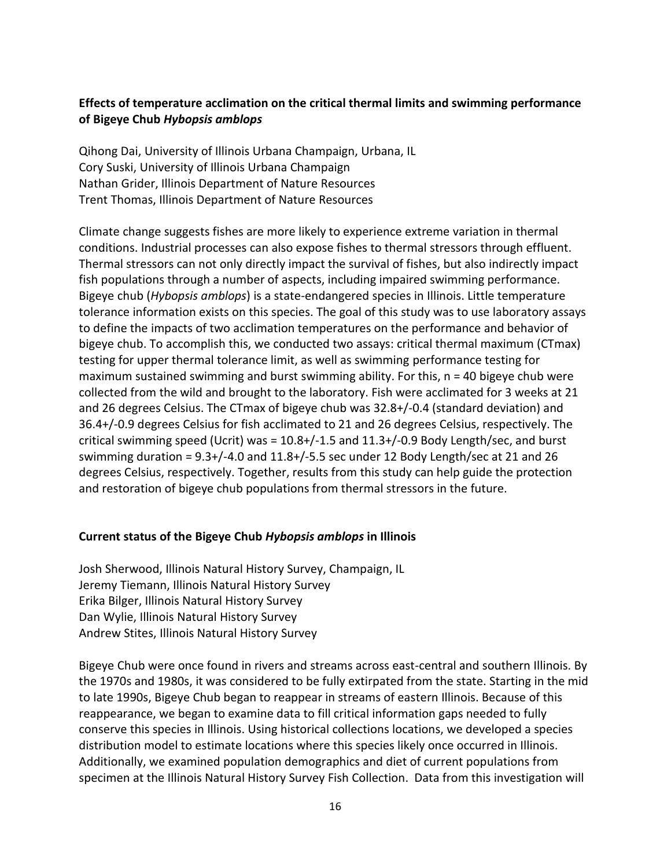## **Effects of temperature acclimation on the critical thermal limits and swimming performance of Bigeye Chub** *Hybopsis amblops*

Qihong Dai, University of Illinois Urbana Champaign, Urbana, IL Cory Suski, University of Illinois Urbana Champaign Nathan Grider, Illinois Department of Nature Resources Trent Thomas, Illinois Department of Nature Resources

Climate change suggests fishes are more likely to experience extreme variation in thermal conditions. Industrial processes can also expose fishes to thermal stressors through effluent. Thermal stressors can not only directly impact the survival of fishes, but also indirectly impact fish populations through a number of aspects, including impaired swimming performance. Bigeye chub (*Hybopsis amblops*) is a state-endangered species in Illinois. Little temperature tolerance information exists on this species. The goal of this study was to use laboratory assays to define the impacts of two acclimation temperatures on the performance and behavior of bigeye chub. To accomplish this, we conducted two assays: critical thermal maximum (CTmax) testing for upper thermal tolerance limit, as well as swimming performance testing for maximum sustained swimming and burst swimming ability. For this, n = 40 bigeye chub were collected from the wild and brought to the laboratory. Fish were acclimated for 3 weeks at 21 and 26 degrees Celsius. The CTmax of bigeye chub was 32.8+/-0.4 (standard deviation) and 36.4+/-0.9 degrees Celsius for fish acclimated to 21 and 26 degrees Celsius, respectively. The critical swimming speed (Ucrit) was =  $10.8 + / -1.5$  and  $11.3 + / -0.9$  Body Length/sec, and burst swimming duration = 9.3+/-4.0 and 11.8+/-5.5 sec under 12 Body Length/sec at 21 and 26 degrees Celsius, respectively. Together, results from this study can help guide the protection and restoration of bigeye chub populations from thermal stressors in the future.

#### **Current status of the Bigeye Chub** *Hybopsis amblops* **in Illinois**

Josh Sherwood, Illinois Natural History Survey, Champaign, IL Jeremy Tiemann, Illinois Natural History Survey Erika Bilger, Illinois Natural History Survey Dan Wylie, Illinois Natural History Survey Andrew Stites, Illinois Natural History Survey

Bigeye Chub were once found in rivers and streams across east-central and southern Illinois. By the 1970s and 1980s, it was considered to be fully extirpated from the state. Starting in the mid to late 1990s, Bigeye Chub began to reappear in streams of eastern Illinois. Because of this reappearance, we began to examine data to fill critical information gaps needed to fully conserve this species in Illinois. Using historical collections locations, we developed a species distribution model to estimate locations where this species likely once occurred in Illinois. Additionally, we examined population demographics and diet of current populations from specimen at the Illinois Natural History Survey Fish Collection. Data from this investigation will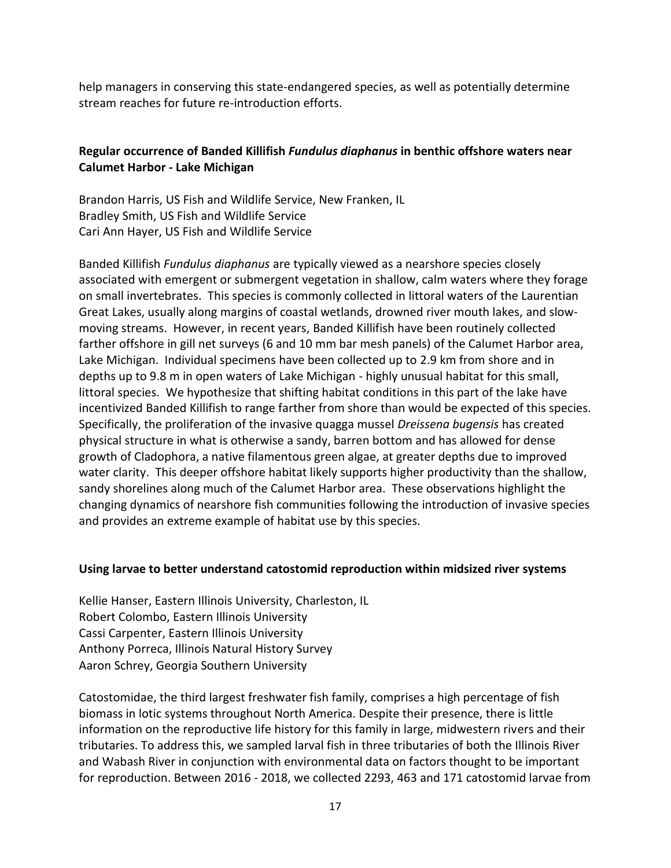help managers in conserving this state-endangered species, as well as potentially determine stream reaches for future re-introduction efforts.

## **Regular occurrence of Banded Killifish** *Fundulus diaphanus* **in benthic offshore waters near Calumet Harbor - Lake Michigan**

Brandon Harris, US Fish and Wildlife Service, New Franken, IL Bradley Smith, US Fish and Wildlife Service Cari Ann Hayer, US Fish and Wildlife Service

Banded Killifish *Fundulus diaphanus* are typically viewed as a nearshore species closely associated with emergent or submergent vegetation in shallow, calm waters where they forage on small invertebrates. This species is commonly collected in littoral waters of the Laurentian Great Lakes, usually along margins of coastal wetlands, drowned river mouth lakes, and slowmoving streams. However, in recent years, Banded Killifish have been routinely collected farther offshore in gill net surveys (6 and 10 mm bar mesh panels) of the Calumet Harbor area, Lake Michigan. Individual specimens have been collected up to 2.9 km from shore and in depths up to 9.8 m in open waters of Lake Michigan - highly unusual habitat for this small, littoral species. We hypothesize that shifting habitat conditions in this part of the lake have incentivized Banded Killifish to range farther from shore than would be expected of this species. Specifically, the proliferation of the invasive quagga mussel *Dreissena bugensis* has created physical structure in what is otherwise a sandy, barren bottom and has allowed for dense growth of Cladophora, a native filamentous green algae, at greater depths due to improved water clarity. This deeper offshore habitat likely supports higher productivity than the shallow, sandy shorelines along much of the Calumet Harbor area. These observations highlight the changing dynamics of nearshore fish communities following the introduction of invasive species and provides an extreme example of habitat use by this species.

#### **Using larvae to better understand catostomid reproduction within midsized river systems**

Kellie Hanser, Eastern Illinois University, Charleston, IL Robert Colombo, Eastern Illinois University Cassi Carpenter, Eastern Illinois University Anthony Porreca, Illinois Natural History Survey Aaron Schrey, Georgia Southern University

Catostomidae, the third largest freshwater fish family, comprises a high percentage of fish biomass in lotic systems throughout North America. Despite their presence, there is little information on the reproductive life history for this family in large, midwestern rivers and their tributaries. To address this, we sampled larval fish in three tributaries of both the Illinois River and Wabash River in conjunction with environmental data on factors thought to be important for reproduction. Between 2016 - 2018, we collected 2293, 463 and 171 catostomid larvae from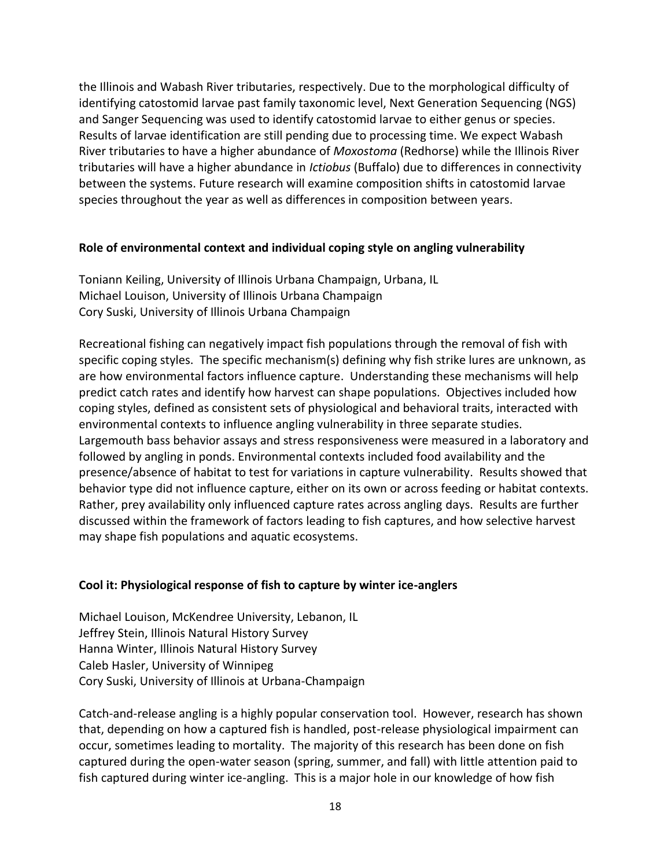the Illinois and Wabash River tributaries, respectively. Due to the morphological difficulty of identifying catostomid larvae past family taxonomic level, Next Generation Sequencing (NGS) and Sanger Sequencing was used to identify catostomid larvae to either genus or species. Results of larvae identification are still pending due to processing time. We expect Wabash River tributaries to have a higher abundance of *Moxostoma* (Redhorse) while the Illinois River tributaries will have a higher abundance in *Ictiobus* (Buffalo) due to differences in connectivity between the systems. Future research will examine composition shifts in catostomid larvae species throughout the year as well as differences in composition between years.

#### **Role of environmental context and individual coping style on angling vulnerability**

Toniann Keiling, University of Illinois Urbana Champaign, Urbana, IL Michael Louison, University of Illinois Urbana Champaign Cory Suski, University of Illinois Urbana Champaign

Recreational fishing can negatively impact fish populations through the removal of fish with specific coping styles. The specific mechanism(s) defining why fish strike lures are unknown, as are how environmental factors influence capture. Understanding these mechanisms will help predict catch rates and identify how harvest can shape populations. Objectives included how coping styles, defined as consistent sets of physiological and behavioral traits, interacted with environmental contexts to influence angling vulnerability in three separate studies. Largemouth bass behavior assays and stress responsiveness were measured in a laboratory and followed by angling in ponds. Environmental contexts included food availability and the presence/absence of habitat to test for variations in capture vulnerability. Results showed that behavior type did not influence capture, either on its own or across feeding or habitat contexts. Rather, prey availability only influenced capture rates across angling days. Results are further discussed within the framework of factors leading to fish captures, and how selective harvest may shape fish populations and aquatic ecosystems.

## **Cool it: Physiological response of fish to capture by winter ice-anglers**

Michael Louison, McKendree University, Lebanon, IL Jeffrey Stein, Illinois Natural History Survey Hanna Winter, Illinois Natural History Survey Caleb Hasler, University of Winnipeg Cory Suski, University of Illinois at Urbana-Champaign

Catch-and-release angling is a highly popular conservation tool. However, research has shown that, depending on how a captured fish is handled, post-release physiological impairment can occur, sometimes leading to mortality. The majority of this research has been done on fish captured during the open-water season (spring, summer, and fall) with little attention paid to fish captured during winter ice-angling. This is a major hole in our knowledge of how fish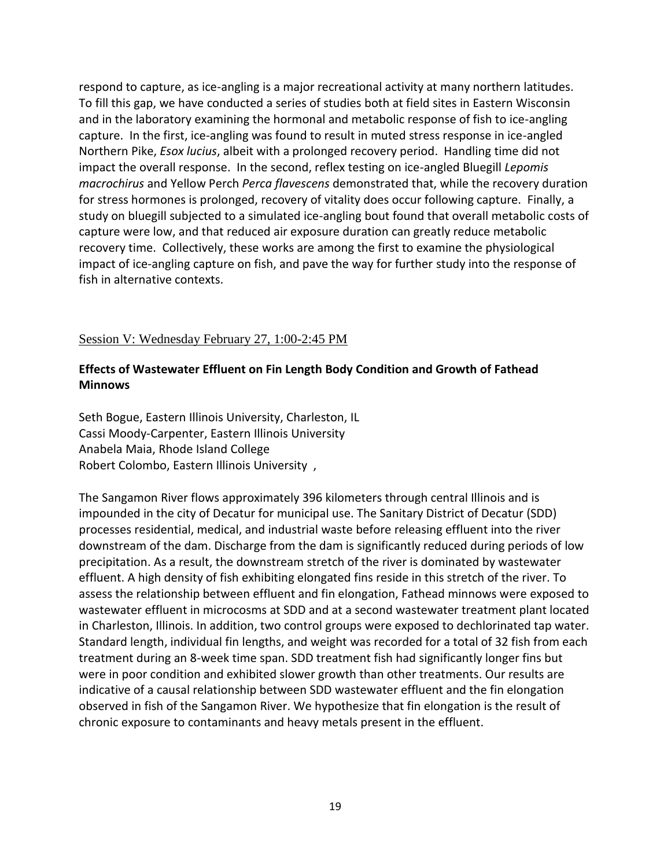respond to capture, as ice-angling is a major recreational activity at many northern latitudes. To fill this gap, we have conducted a series of studies both at field sites in Eastern Wisconsin and in the laboratory examining the hormonal and metabolic response of fish to ice-angling capture. In the first, ice-angling was found to result in muted stress response in ice-angled Northern Pike, *Esox lucius*, albeit with a prolonged recovery period. Handling time did not impact the overall response. In the second, reflex testing on ice-angled Bluegill *Lepomis macrochirus* and Yellow Perch *Perca flavescens* demonstrated that, while the recovery duration for stress hormones is prolonged, recovery of vitality does occur following capture. Finally, a study on bluegill subjected to a simulated ice-angling bout found that overall metabolic costs of capture were low, and that reduced air exposure duration can greatly reduce metabolic recovery time. Collectively, these works are among the first to examine the physiological impact of ice-angling capture on fish, and pave the way for further study into the response of fish in alternative contexts.

#### Session V: Wednesday February 27, 1:00-2:45 PM

### **Effects of Wastewater Effluent on Fin Length Body Condition and Growth of Fathead Minnows**

Seth Bogue, Eastern Illinois University, Charleston, IL Cassi Moody-Carpenter, Eastern Illinois University Anabela Maia, Rhode Island College Robert Colombo, Eastern Illinois University ,

The Sangamon River flows approximately 396 kilometers through central Illinois and is impounded in the city of Decatur for municipal use. The Sanitary District of Decatur (SDD) processes residential, medical, and industrial waste before releasing effluent into the river downstream of the dam. Discharge from the dam is significantly reduced during periods of low precipitation. As a result, the downstream stretch of the river is dominated by wastewater effluent. A high density of fish exhibiting elongated fins reside in this stretch of the river. To assess the relationship between effluent and fin elongation, Fathead minnows were exposed to wastewater effluent in microcosms at SDD and at a second wastewater treatment plant located in Charleston, Illinois. In addition, two control groups were exposed to dechlorinated tap water. Standard length, individual fin lengths, and weight was recorded for a total of 32 fish from each treatment during an 8-week time span. SDD treatment fish had significantly longer fins but were in poor condition and exhibited slower growth than other treatments. Our results are indicative of a causal relationship between SDD wastewater effluent and the fin elongation observed in fish of the Sangamon River. We hypothesize that fin elongation is the result of chronic exposure to contaminants and heavy metals present in the effluent.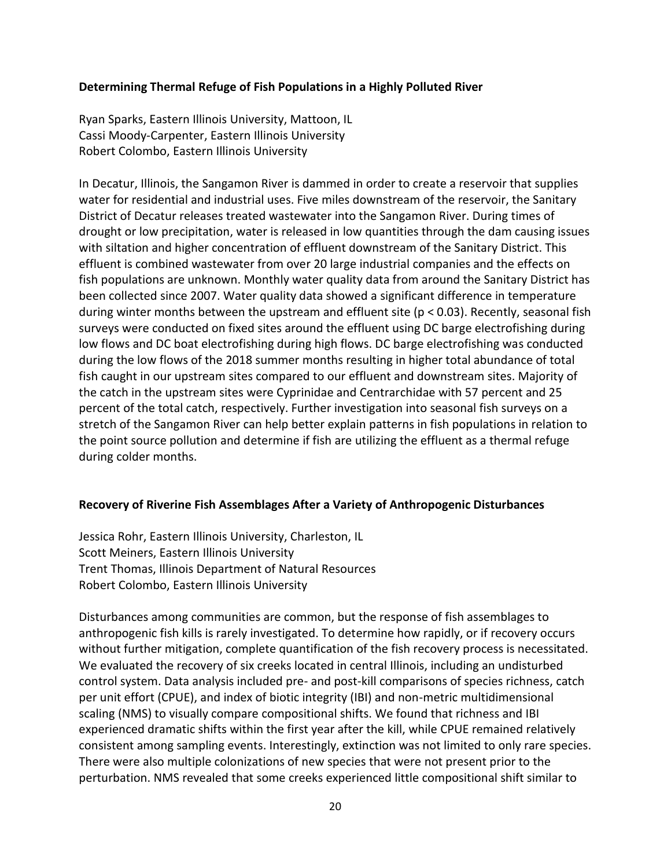#### **Determining Thermal Refuge of Fish Populations in a Highly Polluted River**

Ryan Sparks, Eastern Illinois University, Mattoon, IL Cassi Moody-Carpenter, Eastern Illinois University Robert Colombo, Eastern Illinois University

In Decatur, Illinois, the Sangamon River is dammed in order to create a reservoir that supplies water for residential and industrial uses. Five miles downstream of the reservoir, the Sanitary District of Decatur releases treated wastewater into the Sangamon River. During times of drought or low precipitation, water is released in low quantities through the dam causing issues with siltation and higher concentration of effluent downstream of the Sanitary District. This effluent is combined wastewater from over 20 large industrial companies and the effects on fish populations are unknown. Monthly water quality data from around the Sanitary District has been collected since 2007. Water quality data showed a significant difference in temperature during winter months between the upstream and effluent site (p < 0.03). Recently, seasonal fish surveys were conducted on fixed sites around the effluent using DC barge electrofishing during low flows and DC boat electrofishing during high flows. DC barge electrofishing was conducted during the low flows of the 2018 summer months resulting in higher total abundance of total fish caught in our upstream sites compared to our effluent and downstream sites. Majority of the catch in the upstream sites were Cyprinidae and Centrarchidae with 57 percent and 25 percent of the total catch, respectively. Further investigation into seasonal fish surveys on a stretch of the Sangamon River can help better explain patterns in fish populations in relation to the point source pollution and determine if fish are utilizing the effluent as a thermal refuge during colder months.

#### **Recovery of Riverine Fish Assemblages After a Variety of Anthropogenic Disturbances**

Jessica Rohr, Eastern Illinois University, Charleston, IL Scott Meiners, Eastern Illinois University Trent Thomas, Illinois Department of Natural Resources Robert Colombo, Eastern Illinois University

Disturbances among communities are common, but the response of fish assemblages to anthropogenic fish kills is rarely investigated. To determine how rapidly, or if recovery occurs without further mitigation, complete quantification of the fish recovery process is necessitated. We evaluated the recovery of six creeks located in central Illinois, including an undisturbed control system. Data analysis included pre- and post-kill comparisons of species richness, catch per unit effort (CPUE), and index of biotic integrity (IBI) and non-metric multidimensional scaling (NMS) to visually compare compositional shifts. We found that richness and IBI experienced dramatic shifts within the first year after the kill, while CPUE remained relatively consistent among sampling events. Interestingly, extinction was not limited to only rare species. There were also multiple colonizations of new species that were not present prior to the perturbation. NMS revealed that some creeks experienced little compositional shift similar to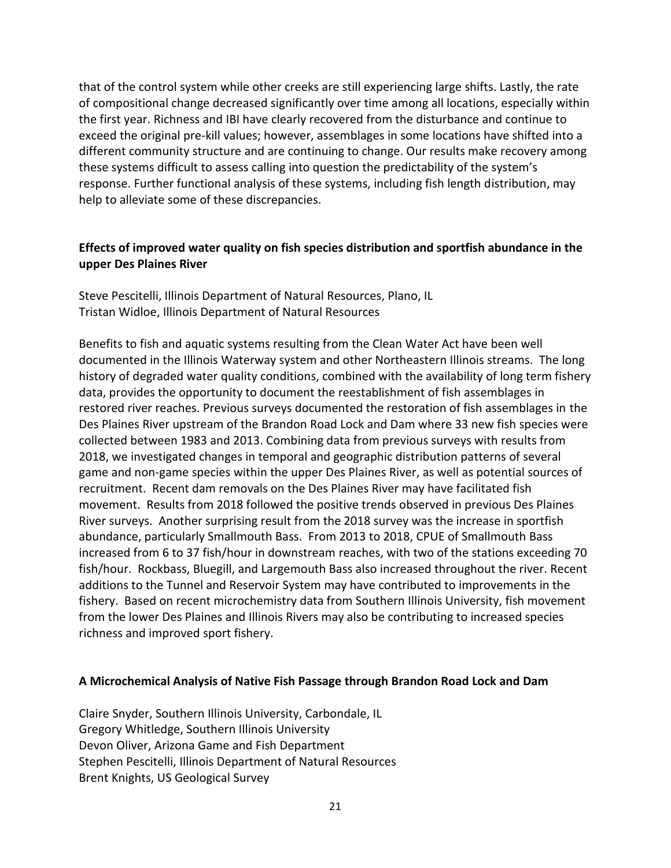that of the control system while other creeks are still experiencing large shifts. Lastly, the rate of compositional change decreased significantly over time among all locations, especially within the first year. Richness and IBI have clearly recovered from the disturbance and continue to exceed the original pre-kill values; however, assemblages in some locations have shifted into a different community structure and are continuing to change. Our results make recovery among these systems difficult to assess calling into question the predictability of the system's response. Further functional analysis of these systems, including fish length distribution, may help to alleviate some of these discrepancies.

### **Effects of improved water quality on fish species distribution and sportfish abundance in the upper Des Plaines River**

Steve Pescitelli, Illinois Department of Natural Resources, Plano, IL Tristan Widloe, Illinois Department of Natural Resources

Benefits to fish and aquatic systems resulting from the Clean Water Act have been well documented in the Illinois Waterway system and other Northeastern Illinois streams. The long history of degraded water quality conditions, combined with the availability of long term fishery data, provides the opportunity to document the reestablishment of fish assemblages in restored river reaches. Previous surveys documented the restoration of fish assemblages in the Des Plaines River upstream of the Brandon Road Lock and Dam where 33 new fish species were collected between 1983 and 2013. Combining data from previous surveys with results from 2018, we investigated changes in temporal and geographic distribution patterns of several game and non-game species within the upper Des Plaines River, as well as potential sources of recruitment. Recent dam removals on the Des Plaines River may have facilitated fish movement. Results from 2018 followed the positive trends observed in previous Des Plaines River surveys. Another surprising result from the 2018 survey was the increase in sportfish abundance, particularly Smallmouth Bass. From 2013 to 2018, CPUE of Smallmouth Bass increased from 6 to 37 fish/hour in downstream reaches, with two of the stations exceeding 70 fish/hour. Rockbass, Bluegill, and Largemouth Bass also increased throughout the river. Recent additions to the Tunnel and Reservoir System may have contributed to improvements in the fishery. Based on recent microchemistry data from Southern Illinois University, fish movement from the lower Des Plaines and Illinois Rivers may also be contributing to increased species richness and improved sport fishery.

#### **A Microchemical Analysis of Native Fish Passage through Brandon Road Lock and Dam**

Claire Snyder, Southern Illinois University, Carbondale, IL Gregory Whitledge, Southern Illinois University Devon Oliver, Arizona Game and Fish Department Stephen Pescitelli, Illinois Department of Natural Resources Brent Knights, US Geological Survey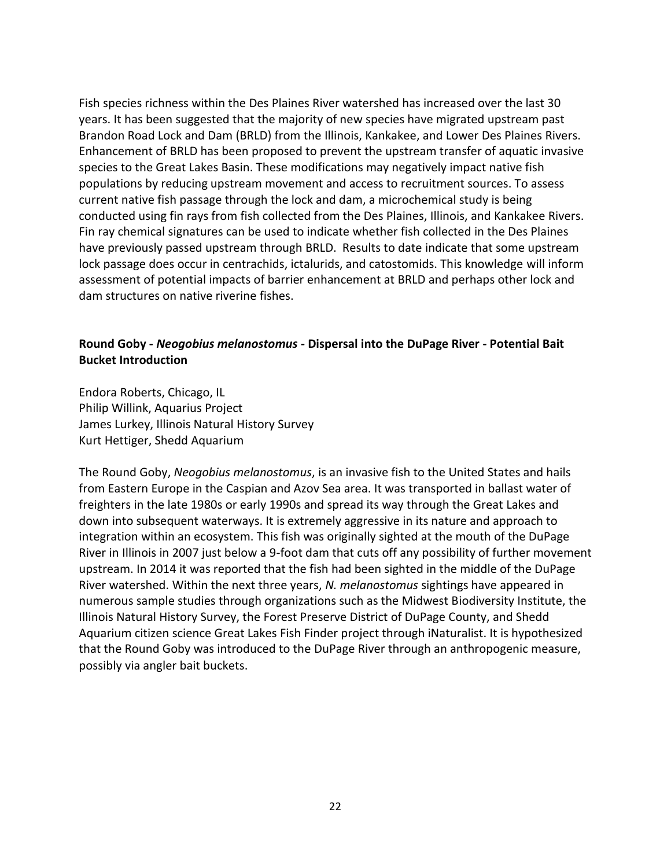Fish species richness within the Des Plaines River watershed has increased over the last 30 years. It has been suggested that the majority of new species have migrated upstream past Brandon Road Lock and Dam (BRLD) from the Illinois, Kankakee, and Lower Des Plaines Rivers. Enhancement of BRLD has been proposed to prevent the upstream transfer of aquatic invasive species to the Great Lakes Basin. These modifications may negatively impact native fish populations by reducing upstream movement and access to recruitment sources. To assess current native fish passage through the lock and dam, a microchemical study is being conducted using fin rays from fish collected from the Des Plaines, Illinois, and Kankakee Rivers. Fin ray chemical signatures can be used to indicate whether fish collected in the Des Plaines have previously passed upstream through BRLD. Results to date indicate that some upstream lock passage does occur in centrachids, ictalurids, and catostomids. This knowledge will inform assessment of potential impacts of barrier enhancement at BRLD and perhaps other lock and dam structures on native riverine fishes.

### **Round Goby -** *Neogobius melanostomus* **- Dispersal into the DuPage River - Potential Bait Bucket Introduction**

Endora Roberts, Chicago, IL Philip Willink, Aquarius Project James Lurkey, Illinois Natural History Survey Kurt Hettiger, Shedd Aquarium

The Round Goby, *Neogobius melanostomus*, is an invasive fish to the United States and hails from Eastern Europe in the Caspian and Azov Sea area. It was transported in ballast water of freighters in the late 1980s or early 1990s and spread its way through the Great Lakes and down into subsequent waterways. It is extremely aggressive in its nature and approach to integration within an ecosystem. This fish was originally sighted at the mouth of the DuPage River in Illinois in 2007 just below a 9-foot dam that cuts off any possibility of further movement upstream. In 2014 it was reported that the fish had been sighted in the middle of the DuPage River watershed. Within the next three years, *N. melanostomus* sightings have appeared in numerous sample studies through organizations such as the Midwest Biodiversity Institute, the Illinois Natural History Survey, the Forest Preserve District of DuPage County, and Shedd Aquarium citizen science Great Lakes Fish Finder project through iNaturalist. It is hypothesized that the Round Goby was introduced to the DuPage River through an anthropogenic measure, possibly via angler bait buckets.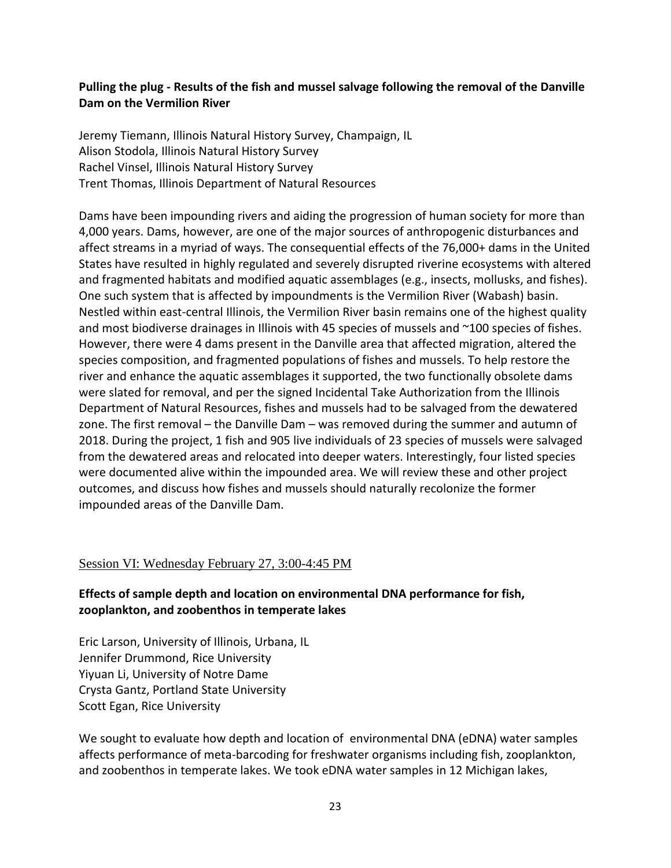## **Pulling the plug - Results of the fish and mussel salvage following the removal of the Danville Dam on the Vermilion River**

Jeremy Tiemann, Illinois Natural History Survey, Champaign, IL Alison Stodola, Illinois Natural History Survey Rachel Vinsel, Illinois Natural History Survey Trent Thomas, Illinois Department of Natural Resources

Dams have been impounding rivers and aiding the progression of human society for more than 4,000 years. Dams, however, are one of the major sources of anthropogenic disturbances and affect streams in a myriad of ways. The consequential effects of the 76,000+ dams in the United States have resulted in highly regulated and severely disrupted riverine ecosystems with altered and fragmented habitats and modified aquatic assemblages (e.g., insects, mollusks, and fishes). One such system that is affected by impoundments is the Vermilion River (Wabash) basin. Nestled within east-central Illinois, the Vermilion River basin remains one of the highest quality and most biodiverse drainages in Illinois with 45 species of mussels and ~100 species of fishes. However, there were 4 dams present in the Danville area that affected migration, altered the species composition, and fragmented populations of fishes and mussels. To help restore the river and enhance the aquatic assemblages it supported, the two functionally obsolete dams were slated for removal, and per the signed Incidental Take Authorization from the Illinois Department of Natural Resources, fishes and mussels had to be salvaged from the dewatered zone. The first removal – the Danville Dam – was removed during the summer and autumn of 2018. During the project, 1 fish and 905 live individuals of 23 species of mussels were salvaged from the dewatered areas and relocated into deeper waters. Interestingly, four listed species were documented alive within the impounded area. We will review these and other project outcomes, and discuss how fishes and mussels should naturally recolonize the former impounded areas of the Danville Dam.

## Session VI: Wednesday February 27, 3:00-4:45 PM

## **Effects of sample depth and location on environmental DNA performance for fish, zooplankton, and zoobenthos in temperate lakes**

Eric Larson, University of Illinois, Urbana, IL Jennifer Drummond, Rice University Yiyuan Li, University of Notre Dame Crysta Gantz, Portland State University Scott Egan, Rice University

We sought to evaluate how depth and location of environmental DNA (eDNA) water samples affects performance of meta-barcoding for freshwater organisms including fish, zooplankton, and zoobenthos in temperate lakes. We took eDNA water samples in 12 Michigan lakes,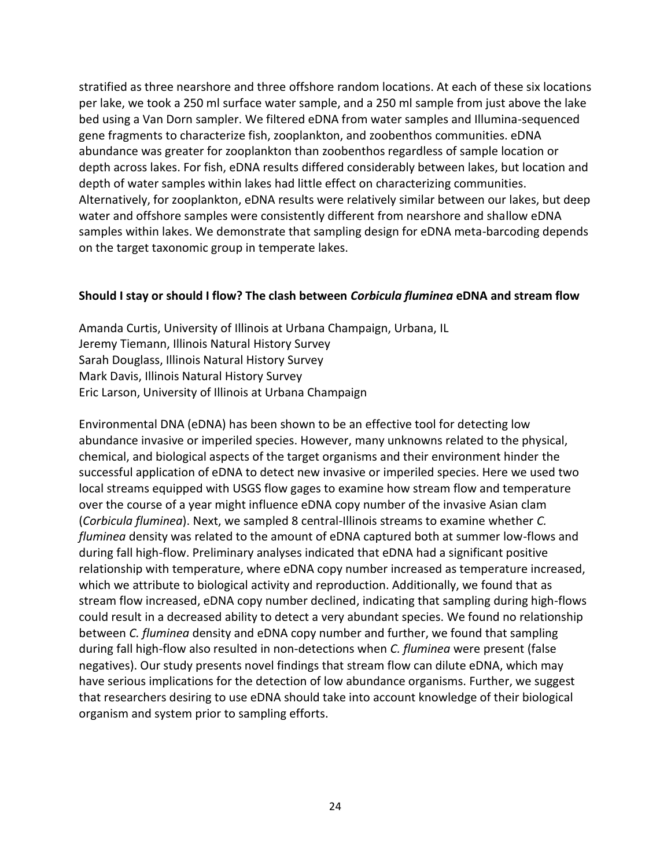stratified as three nearshore and three offshore random locations. At each of these six locations per lake, we took a 250 ml surface water sample, and a 250 ml sample from just above the lake bed using a Van Dorn sampler. We filtered eDNA from water samples and Illumina-sequenced gene fragments to characterize fish, zooplankton, and zoobenthos communities. eDNA abundance was greater for zooplankton than zoobenthos regardless of sample location or depth across lakes. For fish, eDNA results differed considerably between lakes, but location and depth of water samples within lakes had little effect on characterizing communities. Alternatively, for zooplankton, eDNA results were relatively similar between our lakes, but deep water and offshore samples were consistently different from nearshore and shallow eDNA samples within lakes. We demonstrate that sampling design for eDNA meta-barcoding depends on the target taxonomic group in temperate lakes.

#### **Should I stay or should I flow? The clash between** *Corbicula fluminea* **eDNA and stream flow**

Amanda Curtis, University of Illinois at Urbana Champaign, Urbana, IL Jeremy Tiemann, Illinois Natural History Survey Sarah Douglass, Illinois Natural History Survey Mark Davis, Illinois Natural History Survey Eric Larson, University of Illinois at Urbana Champaign

Environmental DNA (eDNA) has been shown to be an effective tool for detecting low abundance invasive or imperiled species. However, many unknowns related to the physical, chemical, and biological aspects of the target organisms and their environment hinder the successful application of eDNA to detect new invasive or imperiled species. Here we used two local streams equipped with USGS flow gages to examine how stream flow and temperature over the course of a year might influence eDNA copy number of the invasive Asian clam (*Corbicula fluminea*). Next, we sampled 8 central-Illinois streams to examine whether *C. fluminea* density was related to the amount of eDNA captured both at summer low-flows and during fall high-flow. Preliminary analyses indicated that eDNA had a significant positive relationship with temperature, where eDNA copy number increased as temperature increased, which we attribute to biological activity and reproduction. Additionally, we found that as stream flow increased, eDNA copy number declined, indicating that sampling during high-flows could result in a decreased ability to detect a very abundant species. We found no relationship between *C. fluminea* density and eDNA copy number and further, we found that sampling during fall high-flow also resulted in non-detections when *C. fluminea* were present (false negatives). Our study presents novel findings that stream flow can dilute eDNA, which may have serious implications for the detection of low abundance organisms. Further, we suggest that researchers desiring to use eDNA should take into account knowledge of their biological organism and system prior to sampling efforts.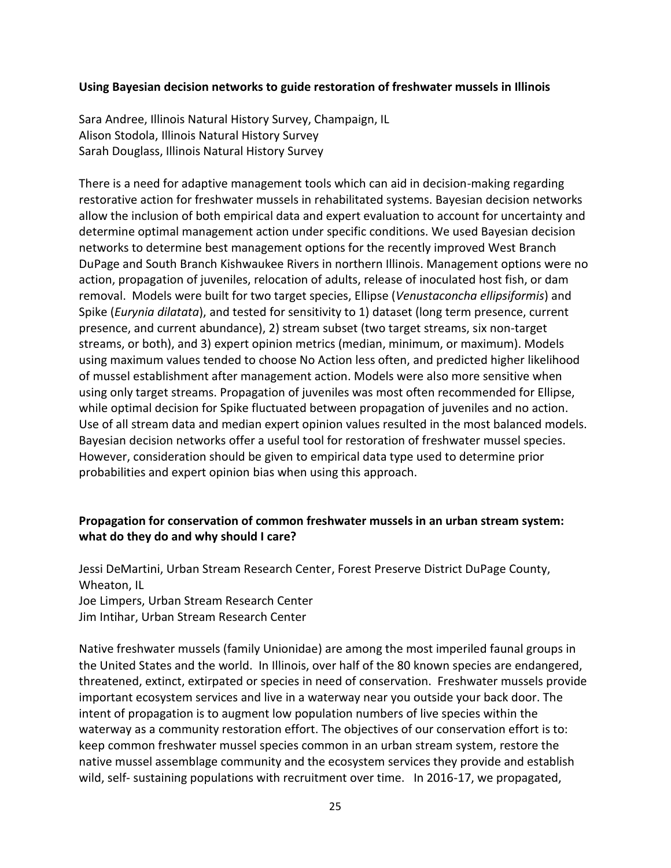#### **Using Bayesian decision networks to guide restoration of freshwater mussels in Illinois**

Sara Andree, Illinois Natural History Survey, Champaign, IL Alison Stodola, Illinois Natural History Survey Sarah Douglass, Illinois Natural History Survey

There is a need for adaptive management tools which can aid in decision-making regarding restorative action for freshwater mussels in rehabilitated systems. Bayesian decision networks allow the inclusion of both empirical data and expert evaluation to account for uncertainty and determine optimal management action under specific conditions. We used Bayesian decision networks to determine best management options for the recently improved West Branch DuPage and South Branch Kishwaukee Rivers in northern Illinois. Management options were no action, propagation of juveniles, relocation of adults, release of inoculated host fish, or dam removal. Models were built for two target species, Ellipse (*Venustaconcha ellipsiformis*) and Spike (*Eurynia dilatata*), and tested for sensitivity to 1) dataset (long term presence, current presence, and current abundance), 2) stream subset (two target streams, six non-target streams, or both), and 3) expert opinion metrics (median, minimum, or maximum). Models using maximum values tended to choose No Action less often, and predicted higher likelihood of mussel establishment after management action. Models were also more sensitive when using only target streams. Propagation of juveniles was most often recommended for Ellipse, while optimal decision for Spike fluctuated between propagation of juveniles and no action. Use of all stream data and median expert opinion values resulted in the most balanced models. Bayesian decision networks offer a useful tool for restoration of freshwater mussel species. However, consideration should be given to empirical data type used to determine prior probabilities and expert opinion bias when using this approach.

## **Propagation for conservation of common freshwater mussels in an urban stream system: what do they do and why should I care?**

Jessi DeMartini, Urban Stream Research Center, Forest Preserve District DuPage County, Wheaton, IL Joe Limpers, Urban Stream Research Center Jim Intihar, Urban Stream Research Center

Native freshwater mussels (family Unionidae) are among the most imperiled faunal groups in the United States and the world. In Illinois, over half of the 80 known species are endangered, threatened, extinct, extirpated or species in need of conservation. Freshwater mussels provide important ecosystem services and live in a waterway near you outside your back door. The intent of propagation is to augment low population numbers of live species within the waterway as a community restoration effort. The objectives of our conservation effort is to: keep common freshwater mussel species common in an urban stream system, restore the native mussel assemblage community and the ecosystem services they provide and establish wild, self- sustaining populations with recruitment over time. In 2016-17, we propagated,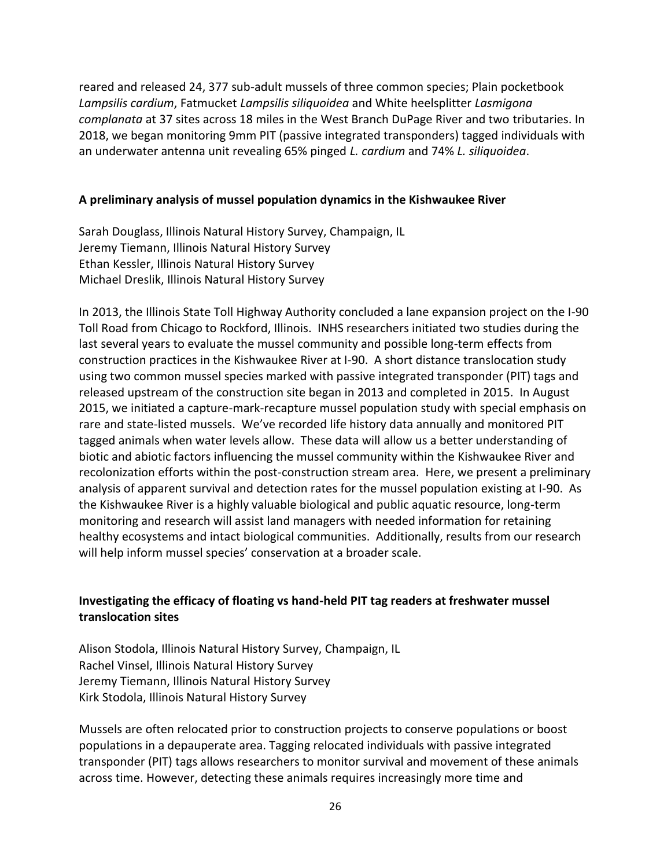reared and released 24, 377 sub-adult mussels of three common species; Plain pocketbook *Lampsilis cardium*, Fatmucket *Lampsilis siliquoidea* and White heelsplitter *Lasmigona complanata* at 37 sites across 18 miles in the West Branch DuPage River and two tributaries. In 2018, we began monitoring 9mm PIT (passive integrated transponders) tagged individuals with an underwater antenna unit revealing 65% pinged *L. cardium* and 74% *L. siliquoidea*.

#### **A preliminary analysis of mussel population dynamics in the Kishwaukee River**

Sarah Douglass, Illinois Natural History Survey, Champaign, IL Jeremy Tiemann, Illinois Natural History Survey Ethan Kessler, Illinois Natural History Survey Michael Dreslik, Illinois Natural History Survey

In 2013, the Illinois State Toll Highway Authority concluded a lane expansion project on the I-90 Toll Road from Chicago to Rockford, Illinois. INHS researchers initiated two studies during the last several years to evaluate the mussel community and possible long-term effects from construction practices in the Kishwaukee River at I-90. A short distance translocation study using two common mussel species marked with passive integrated transponder (PIT) tags and released upstream of the construction site began in 2013 and completed in 2015. In August 2015, we initiated a capture-mark-recapture mussel population study with special emphasis on rare and state-listed mussels. We've recorded life history data annually and monitored PIT tagged animals when water levels allow. These data will allow us a better understanding of biotic and abiotic factors influencing the mussel community within the Kishwaukee River and recolonization efforts within the post-construction stream area. Here, we present a preliminary analysis of apparent survival and detection rates for the mussel population existing at I-90. As the Kishwaukee River is a highly valuable biological and public aquatic resource, long-term monitoring and research will assist land managers with needed information for retaining healthy ecosystems and intact biological communities. Additionally, results from our research will help inform mussel species' conservation at a broader scale.

## **Investigating the efficacy of floating vs hand-held PIT tag readers at freshwater mussel translocation sites**

Alison Stodola, Illinois Natural History Survey, Champaign, IL Rachel Vinsel, Illinois Natural History Survey Jeremy Tiemann, Illinois Natural History Survey Kirk Stodola, Illinois Natural History Survey

Mussels are often relocated prior to construction projects to conserve populations or boost populations in a depauperate area. Tagging relocated individuals with passive integrated transponder (PIT) tags allows researchers to monitor survival and movement of these animals across time. However, detecting these animals requires increasingly more time and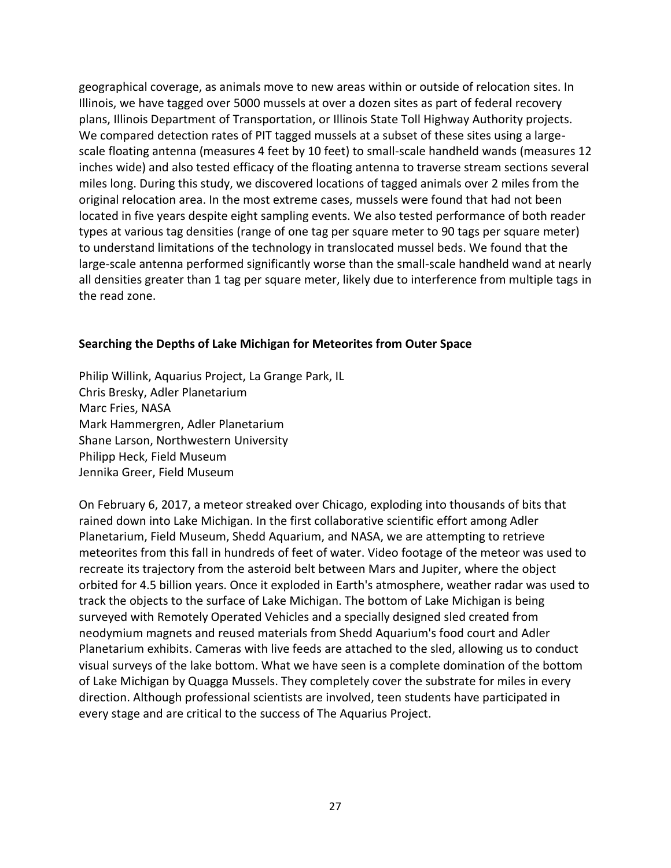geographical coverage, as animals move to new areas within or outside of relocation sites. In Illinois, we have tagged over 5000 mussels at over a dozen sites as part of federal recovery plans, Illinois Department of Transportation, or Illinois State Toll Highway Authority projects. We compared detection rates of PIT tagged mussels at a subset of these sites using a largescale floating antenna (measures 4 feet by 10 feet) to small-scale handheld wands (measures 12 inches wide) and also tested efficacy of the floating antenna to traverse stream sections several miles long. During this study, we discovered locations of tagged animals over 2 miles from the original relocation area. In the most extreme cases, mussels were found that had not been located in five years despite eight sampling events. We also tested performance of both reader types at various tag densities (range of one tag per square meter to 90 tags per square meter) to understand limitations of the technology in translocated mussel beds. We found that the large-scale antenna performed significantly worse than the small-scale handheld wand at nearly all densities greater than 1 tag per square meter, likely due to interference from multiple tags in the read zone.

## **Searching the Depths of Lake Michigan for Meteorites from Outer Space**

Philip Willink, Aquarius Project, La Grange Park, IL Chris Bresky, Adler Planetarium Marc Fries, NASA Mark Hammergren, Adler Planetarium Shane Larson, Northwestern University Philipp Heck, Field Museum Jennika Greer, Field Museum

On February 6, 2017, a meteor streaked over Chicago, exploding into thousands of bits that rained down into Lake Michigan. In the first collaborative scientific effort among Adler Planetarium, Field Museum, Shedd Aquarium, and NASA, we are attempting to retrieve meteorites from this fall in hundreds of feet of water. Video footage of the meteor was used to recreate its trajectory from the asteroid belt between Mars and Jupiter, where the object orbited for 4.5 billion years. Once it exploded in Earth's atmosphere, weather radar was used to track the objects to the surface of Lake Michigan. The bottom of Lake Michigan is being surveyed with Remotely Operated Vehicles and a specially designed sled created from neodymium magnets and reused materials from Shedd Aquarium's food court and Adler Planetarium exhibits. Cameras with live feeds are attached to the sled, allowing us to conduct visual surveys of the lake bottom. What we have seen is a complete domination of the bottom of Lake Michigan by Quagga Mussels. They completely cover the substrate for miles in every direction. Although professional scientists are involved, teen students have participated in every stage and are critical to the success of The Aquarius Project.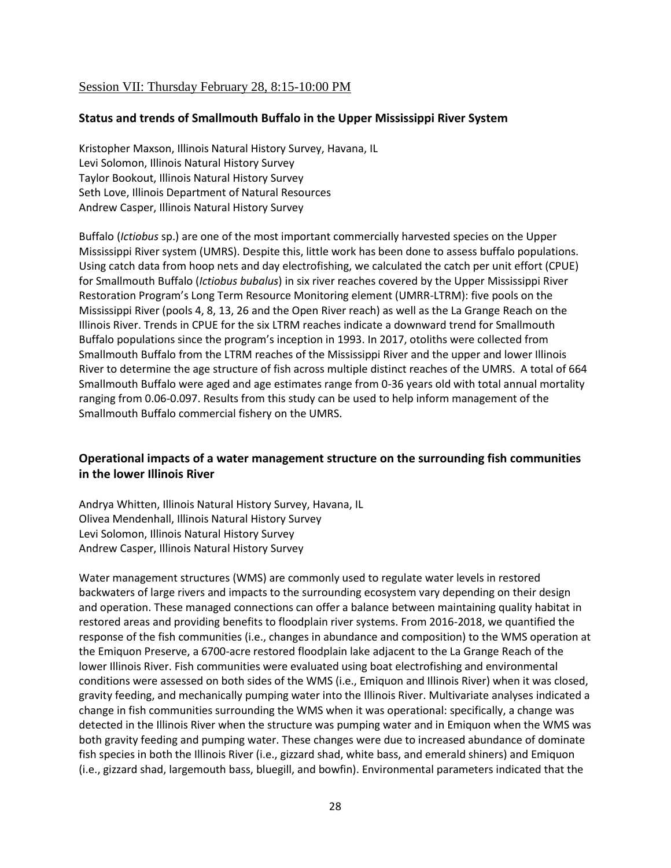### Session VII: Thursday February 28, 8:15-10:00 PM

#### **Status and trends of Smallmouth Buffalo in the Upper Mississippi River System**

Kristopher Maxson, Illinois Natural History Survey, Havana, IL Levi Solomon, Illinois Natural History Survey Taylor Bookout, Illinois Natural History Survey Seth Love, Illinois Department of Natural Resources Andrew Casper, Illinois Natural History Survey

Buffalo (*Ictiobus* sp.) are one of the most important commercially harvested species on the Upper Mississippi River system (UMRS). Despite this, little work has been done to assess buffalo populations. Using catch data from hoop nets and day electrofishing, we calculated the catch per unit effort (CPUE) for Smallmouth Buffalo (*Ictiobus bubalus*) in six river reaches covered by the Upper Mississippi River Restoration Program's Long Term Resource Monitoring element (UMRR-LTRM): five pools on the Mississippi River (pools 4, 8, 13, 26 and the Open River reach) as well as the La Grange Reach on the Illinois River. Trends in CPUE for the six LTRM reaches indicate a downward trend for Smallmouth Buffalo populations since the program's inception in 1993. In 2017, otoliths were collected from Smallmouth Buffalo from the LTRM reaches of the Mississippi River and the upper and lower Illinois River to determine the age structure of fish across multiple distinct reaches of the UMRS. A total of 664 Smallmouth Buffalo were aged and age estimates range from 0-36 years old with total annual mortality ranging from 0.06-0.097. Results from this study can be used to help inform management of the Smallmouth Buffalo commercial fishery on the UMRS.

### **Operational impacts of a water management structure on the surrounding fish communities in the lower Illinois River**

Andrya Whitten, Illinois Natural History Survey, Havana, IL Olivea Mendenhall, Illinois Natural History Survey Levi Solomon, Illinois Natural History Survey Andrew Casper, Illinois Natural History Survey

Water management structures (WMS) are commonly used to regulate water levels in restored backwaters of large rivers and impacts to the surrounding ecosystem vary depending on their design and operation. These managed connections can offer a balance between maintaining quality habitat in restored areas and providing benefits to floodplain river systems. From 2016-2018, we quantified the response of the fish communities (i.e., changes in abundance and composition) to the WMS operation at the Emiquon Preserve, a 6700-acre restored floodplain lake adjacent to the La Grange Reach of the lower Illinois River. Fish communities were evaluated using boat electrofishing and environmental conditions were assessed on both sides of the WMS (i.e., Emiquon and Illinois River) when it was closed, gravity feeding, and mechanically pumping water into the Illinois River. Multivariate analyses indicated a change in fish communities surrounding the WMS when it was operational: specifically, a change was detected in the Illinois River when the structure was pumping water and in Emiquon when the WMS was both gravity feeding and pumping water. These changes were due to increased abundance of dominate fish species in both the Illinois River (i.e., gizzard shad, white bass, and emerald shiners) and Emiquon (i.e., gizzard shad, largemouth bass, bluegill, and bowfin). Environmental parameters indicated that the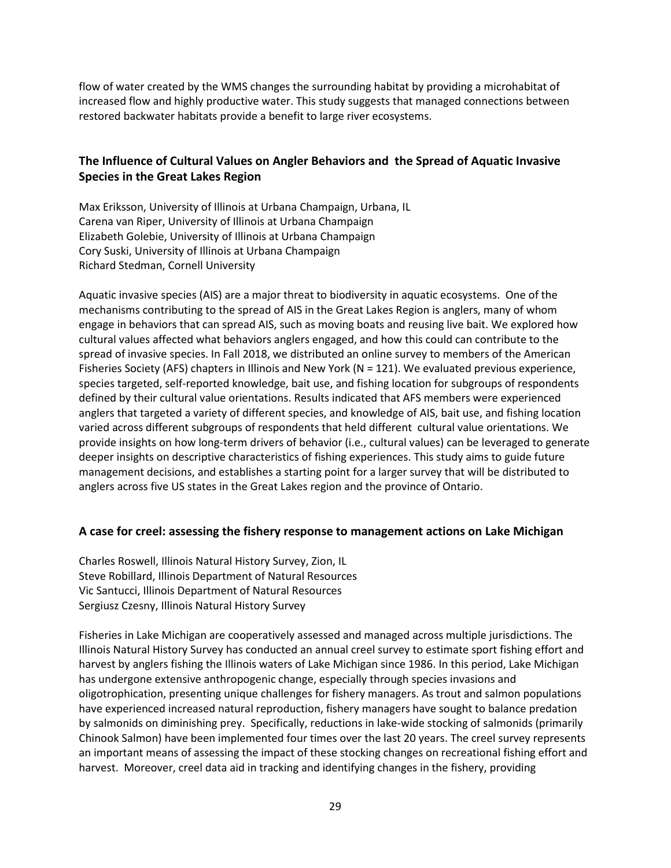flow of water created by the WMS changes the surrounding habitat by providing a microhabitat of increased flow and highly productive water. This study suggests that managed connections between restored backwater habitats provide a benefit to large river ecosystems.

## **The Influence of Cultural Values on Angler Behaviors and the Spread of Aquatic Invasive Species in the Great Lakes Region**

Max Eriksson, University of Illinois at Urbana Champaign, Urbana, IL Carena van Riper, University of Illinois at Urbana Champaign Elizabeth Golebie, University of Illinois at Urbana Champaign Cory Suski, University of Illinois at Urbana Champaign Richard Stedman, Cornell University

Aquatic invasive species (AIS) are a major threat to biodiversity in aquatic ecosystems. One of the mechanisms contributing to the spread of AIS in the Great Lakes Region is anglers, many of whom engage in behaviors that can spread AIS, such as moving boats and reusing live bait. We explored how cultural values affected what behaviors anglers engaged, and how this could can contribute to the spread of invasive species. In Fall 2018, we distributed an online survey to members of the American Fisheries Society (AFS) chapters in Illinois and New York (N = 121). We evaluated previous experience, species targeted, self-reported knowledge, bait use, and fishing location for subgroups of respondents defined by their cultural value orientations. Results indicated that AFS members were experienced anglers that targeted a variety of different species, and knowledge of AIS, bait use, and fishing location varied across different subgroups of respondents that held different cultural value orientations. We provide insights on how long-term drivers of behavior (i.e., cultural values) can be leveraged to generate deeper insights on descriptive characteristics of fishing experiences. This study aims to guide future management decisions, and establishes a starting point for a larger survey that will be distributed to anglers across five US states in the Great Lakes region and the province of Ontario.

#### **A case for creel: assessing the fishery response to management actions on Lake Michigan**

Charles Roswell, Illinois Natural History Survey, Zion, IL Steve Robillard, Illinois Department of Natural Resources Vic Santucci, Illinois Department of Natural Resources Sergiusz Czesny, Illinois Natural History Survey

Fisheries in Lake Michigan are cooperatively assessed and managed across multiple jurisdictions. The Illinois Natural History Survey has conducted an annual creel survey to estimate sport fishing effort and harvest by anglers fishing the Illinois waters of Lake Michigan since 1986. In this period, Lake Michigan has undergone extensive anthropogenic change, especially through species invasions and oligotrophication, presenting unique challenges for fishery managers. As trout and salmon populations have experienced increased natural reproduction, fishery managers have sought to balance predation by salmonids on diminishing prey. Specifically, reductions in lake-wide stocking of salmonids (primarily Chinook Salmon) have been implemented four times over the last 20 years. The creel survey represents an important means of assessing the impact of these stocking changes on recreational fishing effort and harvest. Moreover, creel data aid in tracking and identifying changes in the fishery, providing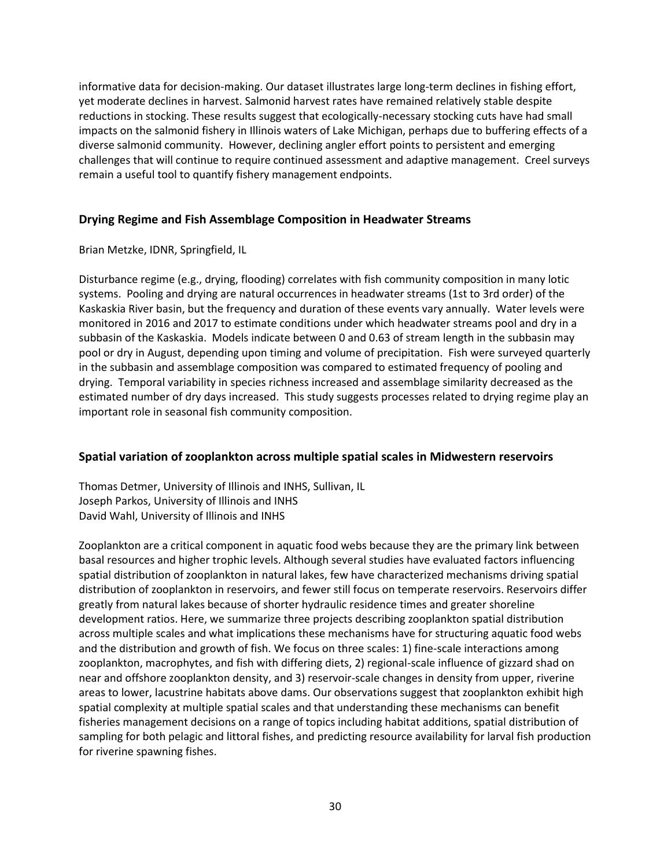informative data for decision-making. Our dataset illustrates large long-term declines in fishing effort, yet moderate declines in harvest. Salmonid harvest rates have remained relatively stable despite reductions in stocking. These results suggest that ecologically-necessary stocking cuts have had small impacts on the salmonid fishery in Illinois waters of Lake Michigan, perhaps due to buffering effects of a diverse salmonid community. However, declining angler effort points to persistent and emerging challenges that will continue to require continued assessment and adaptive management. Creel surveys remain a useful tool to quantify fishery management endpoints.

#### **Drying Regime and Fish Assemblage Composition in Headwater Streams**

Brian Metzke, IDNR, Springfield, IL

Disturbance regime (e.g., drying, flooding) correlates with fish community composition in many lotic systems. Pooling and drying are natural occurrences in headwater streams (1st to 3rd order) of the Kaskaskia River basin, but the frequency and duration of these events vary annually. Water levels were monitored in 2016 and 2017 to estimate conditions under which headwater streams pool and dry in a subbasin of the Kaskaskia. Models indicate between 0 and 0.63 of stream length in the subbasin may pool or dry in August, depending upon timing and volume of precipitation. Fish were surveyed quarterly in the subbasin and assemblage composition was compared to estimated frequency of pooling and drying. Temporal variability in species richness increased and assemblage similarity decreased as the estimated number of dry days increased. This study suggests processes related to drying regime play an important role in seasonal fish community composition.

#### **Spatial variation of zooplankton across multiple spatial scales in Midwestern reservoirs**

Thomas Detmer, University of Illinois and INHS, Sullivan, IL Joseph Parkos, University of Illinois and INHS David Wahl, University of Illinois and INHS

Zooplankton are a critical component in aquatic food webs because they are the primary link between basal resources and higher trophic levels. Although several studies have evaluated factors influencing spatial distribution of zooplankton in natural lakes, few have characterized mechanisms driving spatial distribution of zooplankton in reservoirs, and fewer still focus on temperate reservoirs. Reservoirs differ greatly from natural lakes because of shorter hydraulic residence times and greater shoreline development ratios. Here, we summarize three projects describing zooplankton spatial distribution across multiple scales and what implications these mechanisms have for structuring aquatic food webs and the distribution and growth of fish. We focus on three scales: 1) fine-scale interactions among zooplankton, macrophytes, and fish with differing diets, 2) regional-scale influence of gizzard shad on near and offshore zooplankton density, and 3) reservoir-scale changes in density from upper, riverine areas to lower, lacustrine habitats above dams. Our observations suggest that zooplankton exhibit high spatial complexity at multiple spatial scales and that understanding these mechanisms can benefit fisheries management decisions on a range of topics including habitat additions, spatial distribution of sampling for both pelagic and littoral fishes, and predicting resource availability for larval fish production for riverine spawning fishes.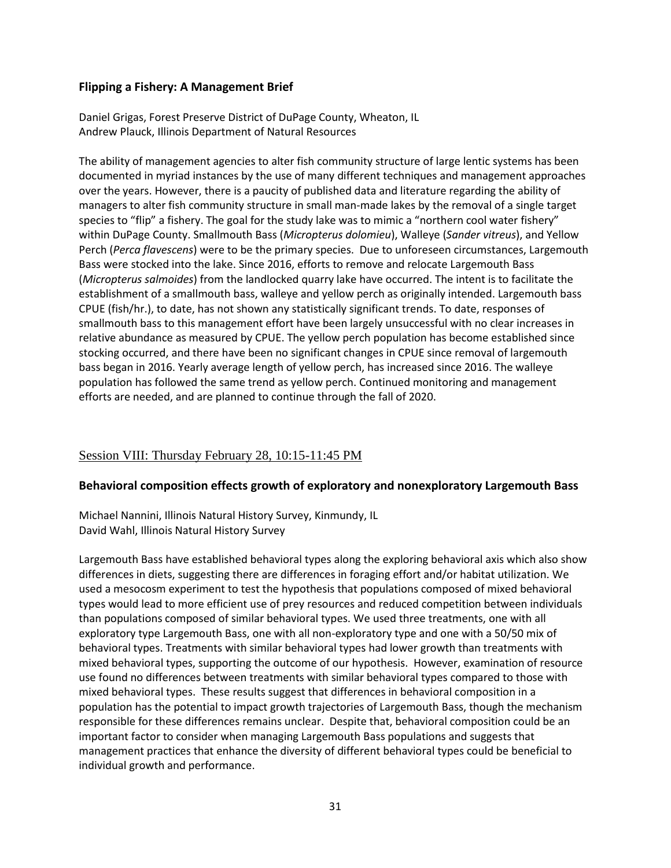#### **Flipping a Fishery: A Management Brief**

Daniel Grigas, Forest Preserve District of DuPage County, Wheaton, IL Andrew Plauck, Illinois Department of Natural Resources

The ability of management agencies to alter fish community structure of large lentic systems has been documented in myriad instances by the use of many different techniques and management approaches over the years. However, there is a paucity of published data and literature regarding the ability of managers to alter fish community structure in small man-made lakes by the removal of a single target species to "flip" a fishery. The goal for the study lake was to mimic a "northern cool water fishery" within DuPage County. Smallmouth Bass (*Micropterus dolomieu*), Walleye (*Sander vitreus*), and Yellow Perch (*Perca flavescens*) were to be the primary species. Due to unforeseen circumstances, Largemouth Bass were stocked into the lake. Since 2016, efforts to remove and relocate Largemouth Bass (*Micropterus salmoides*) from the landlocked quarry lake have occurred. The intent is to facilitate the establishment of a smallmouth bass, walleye and yellow perch as originally intended. Largemouth bass CPUE (fish/hr.), to date, has not shown any statistically significant trends. To date, responses of smallmouth bass to this management effort have been largely unsuccessful with no clear increases in relative abundance as measured by CPUE. The yellow perch population has become established since stocking occurred, and there have been no significant changes in CPUE since removal of largemouth bass began in 2016. Yearly average length of yellow perch, has increased since 2016. The walleye population has followed the same trend as yellow perch. Continued monitoring and management efforts are needed, and are planned to continue through the fall of 2020.

## Session VIII: Thursday February 28, 10:15-11:45 PM

#### **Behavioral composition effects growth of exploratory and nonexploratory Largemouth Bass**

Michael Nannini, Illinois Natural History Survey, Kinmundy, IL David Wahl, Illinois Natural History Survey

Largemouth Bass have established behavioral types along the exploring behavioral axis which also show differences in diets, suggesting there are differences in foraging effort and/or habitat utilization. We used a mesocosm experiment to test the hypothesis that populations composed of mixed behavioral types would lead to more efficient use of prey resources and reduced competition between individuals than populations composed of similar behavioral types. We used three treatments, one with all exploratory type Largemouth Bass, one with all non-exploratory type and one with a 50/50 mix of behavioral types. Treatments with similar behavioral types had lower growth than treatments with mixed behavioral types, supporting the outcome of our hypothesis. However, examination of resource use found no differences between treatments with similar behavioral types compared to those with mixed behavioral types. These results suggest that differences in behavioral composition in a population has the potential to impact growth trajectories of Largemouth Bass, though the mechanism responsible for these differences remains unclear. Despite that, behavioral composition could be an important factor to consider when managing Largemouth Bass populations and suggests that management practices that enhance the diversity of different behavioral types could be beneficial to individual growth and performance.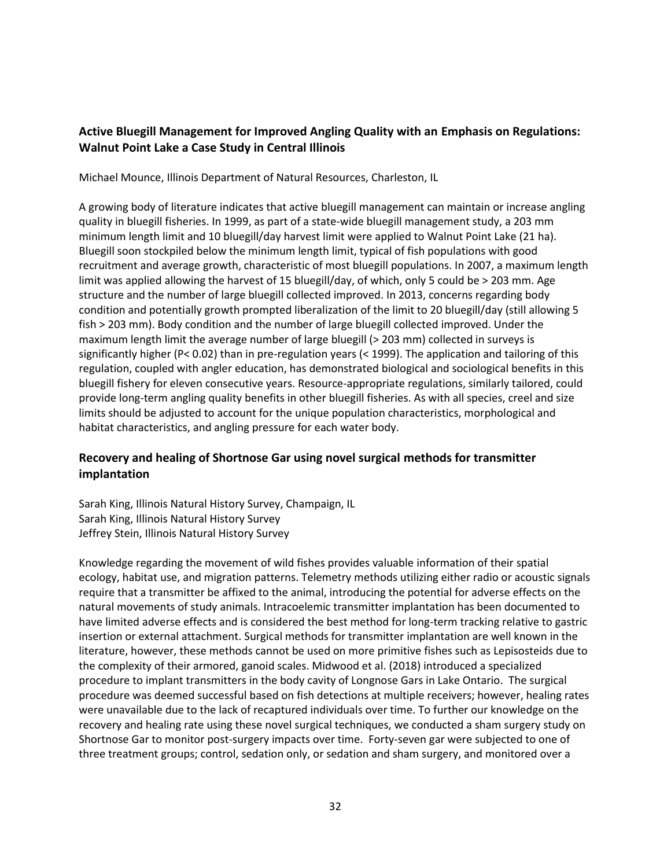## **Active Bluegill Management for Improved Angling Quality with an Emphasis on Regulations: Walnut Point Lake a Case Study in Central Illinois**

Michael Mounce, Illinois Department of Natural Resources, Charleston, IL

A growing body of literature indicates that active bluegill management can maintain or increase angling quality in bluegill fisheries. In 1999, as part of a state-wide bluegill management study, a 203 mm minimum length limit and 10 bluegill/day harvest limit were applied to Walnut Point Lake (21 ha). Bluegill soon stockpiled below the minimum length limit, typical of fish populations with good recruitment and average growth, characteristic of most bluegill populations. In 2007, a maximum length limit was applied allowing the harvest of 15 bluegill/day, of which, only 5 could be > 203 mm. Age structure and the number of large bluegill collected improved. In 2013, concerns regarding body condition and potentially growth prompted liberalization of the limit to 20 bluegill/day (still allowing 5 fish > 203 mm). Body condition and the number of large bluegill collected improved. Under the maximum length limit the average number of large bluegill (> 203 mm) collected in surveys is significantly higher (P< 0.02) than in pre-regulation years (< 1999). The application and tailoring of this regulation, coupled with angler education, has demonstrated biological and sociological benefits in this bluegill fishery for eleven consecutive years. Resource-appropriate regulations, similarly tailored, could provide long-term angling quality benefits in other bluegill fisheries. As with all species, creel and size limits should be adjusted to account for the unique population characteristics, morphological and habitat characteristics, and angling pressure for each water body.

## **Recovery and healing of Shortnose Gar using novel surgical methods for transmitter implantation**

Sarah King, Illinois Natural History Survey, Champaign, IL Sarah King, Illinois Natural History Survey Jeffrey Stein, Illinois Natural History Survey

Knowledge regarding the movement of wild fishes provides valuable information of their spatial ecology, habitat use, and migration patterns. Telemetry methods utilizing either radio or acoustic signals require that a transmitter be affixed to the animal, introducing the potential for adverse effects on the natural movements of study animals. Intracoelemic transmitter implantation has been documented to have limited adverse effects and is considered the best method for long-term tracking relative to gastric insertion or external attachment. Surgical methods for transmitter implantation are well known in the literature, however, these methods cannot be used on more primitive fishes such as Lepisosteids due to the complexity of their armored, ganoid scales. Midwood et al. (2018) introduced a specialized procedure to implant transmitters in the body cavity of Longnose Gars in Lake Ontario. The surgical procedure was deemed successful based on fish detections at multiple receivers; however, healing rates were unavailable due to the lack of recaptured individuals over time. To further our knowledge on the recovery and healing rate using these novel surgical techniques, we conducted a sham surgery study on Shortnose Gar to monitor post-surgery impacts over time. Forty-seven gar were subjected to one of three treatment groups; control, sedation only, or sedation and sham surgery, and monitored over a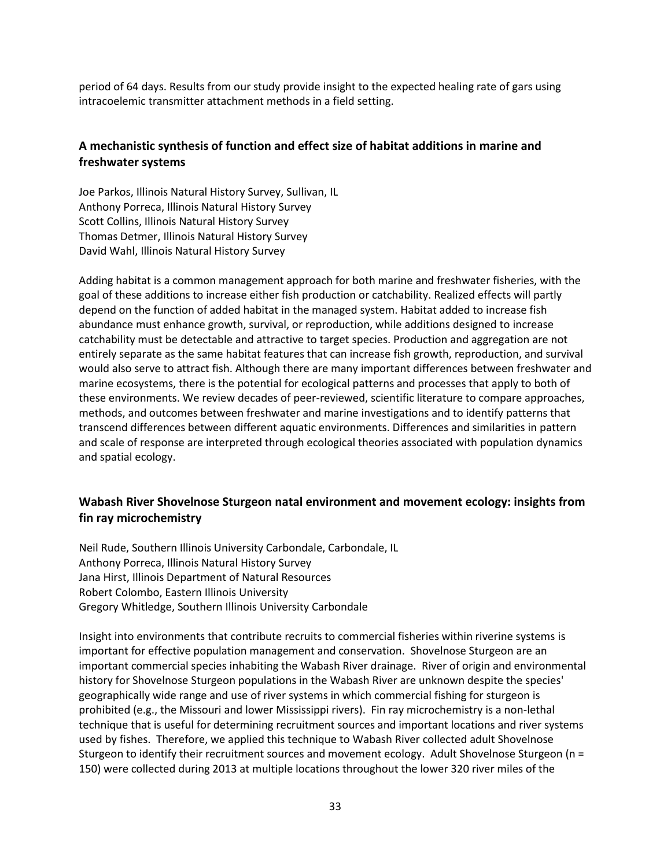period of 64 days. Results from our study provide insight to the expected healing rate of gars using intracoelemic transmitter attachment methods in a field setting.

## **A mechanistic synthesis of function and effect size of habitat additions in marine and freshwater systems**

Joe Parkos, Illinois Natural History Survey, Sullivan, IL Anthony Porreca, Illinois Natural History Survey Scott Collins, Illinois Natural History Survey Thomas Detmer, Illinois Natural History Survey David Wahl, Illinois Natural History Survey

Adding habitat is a common management approach for both marine and freshwater fisheries, with the goal of these additions to increase either fish production or catchability. Realized effects will partly depend on the function of added habitat in the managed system. Habitat added to increase fish abundance must enhance growth, survival, or reproduction, while additions designed to increase catchability must be detectable and attractive to target species. Production and aggregation are not entirely separate as the same habitat features that can increase fish growth, reproduction, and survival would also serve to attract fish. Although there are many important differences between freshwater and marine ecosystems, there is the potential for ecological patterns and processes that apply to both of these environments. We review decades of peer-reviewed, scientific literature to compare approaches, methods, and outcomes between freshwater and marine investigations and to identify patterns that transcend differences between different aquatic environments. Differences and similarities in pattern and scale of response are interpreted through ecological theories associated with population dynamics and spatial ecology.

### **Wabash River Shovelnose Sturgeon natal environment and movement ecology: insights from fin ray microchemistry**

Neil Rude, Southern Illinois University Carbondale, Carbondale, IL Anthony Porreca, Illinois Natural History Survey Jana Hirst, Illinois Department of Natural Resources Robert Colombo, Eastern Illinois University Gregory Whitledge, Southern Illinois University Carbondale

Insight into environments that contribute recruits to commercial fisheries within riverine systems is important for effective population management and conservation. Shovelnose Sturgeon are an important commercial species inhabiting the Wabash River drainage. River of origin and environmental history for Shovelnose Sturgeon populations in the Wabash River are unknown despite the species' geographically wide range and use of river systems in which commercial fishing for sturgeon is prohibited (e.g., the Missouri and lower Mississippi rivers). Fin ray microchemistry is a non-lethal technique that is useful for determining recruitment sources and important locations and river systems used by fishes. Therefore, we applied this technique to Wabash River collected adult Shovelnose Sturgeon to identify their recruitment sources and movement ecology. Adult Shovelnose Sturgeon (n = 150) were collected during 2013 at multiple locations throughout the lower 320 river miles of the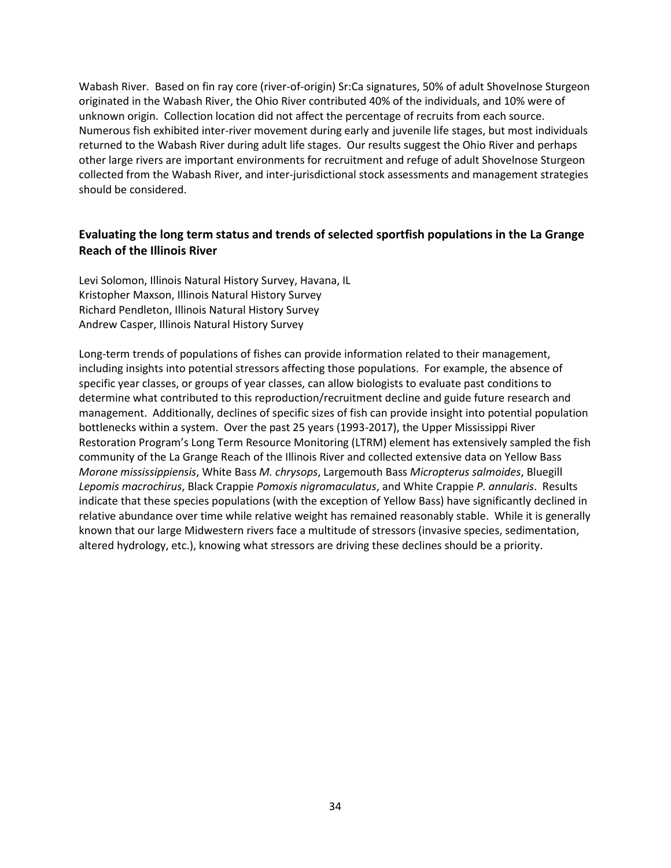Wabash River. Based on fin ray core (river-of-origin) Sr:Ca signatures, 50% of adult Shovelnose Sturgeon originated in the Wabash River, the Ohio River contributed 40% of the individuals, and 10% were of unknown origin. Collection location did not affect the percentage of recruits from each source. Numerous fish exhibited inter-river movement during early and juvenile life stages, but most individuals returned to the Wabash River during adult life stages. Our results suggest the Ohio River and perhaps other large rivers are important environments for recruitment and refuge of adult Shovelnose Sturgeon collected from the Wabash River, and inter-jurisdictional stock assessments and management strategies should be considered.

### **Evaluating the long term status and trends of selected sportfish populations in the La Grange Reach of the Illinois River**

Levi Solomon, Illinois Natural History Survey, Havana, IL Kristopher Maxson, Illinois Natural History Survey Richard Pendleton, Illinois Natural History Survey Andrew Casper, Illinois Natural History Survey

Long-term trends of populations of fishes can provide information related to their management, including insights into potential stressors affecting those populations. For example, the absence of specific year classes, or groups of year classes, can allow biologists to evaluate past conditions to determine what contributed to this reproduction/recruitment decline and guide future research and management. Additionally, declines of specific sizes of fish can provide insight into potential population bottlenecks within a system. Over the past 25 years (1993-2017), the Upper Mississippi River Restoration Program's Long Term Resource Monitoring (LTRM) element has extensively sampled the fish community of the La Grange Reach of the Illinois River and collected extensive data on Yellow Bass *Morone mississippiensis*, White Bass *M. chrysops*, Largemouth Bass *Micropterus salmoides*, Bluegill *Lepomis macrochirus*, Black Crappie *Pomoxis nigromaculatus*, and White Crappie *P. annularis*. Results indicate that these species populations (with the exception of Yellow Bass) have significantly declined in relative abundance over time while relative weight has remained reasonably stable. While it is generally known that our large Midwestern rivers face a multitude of stressors (invasive species, sedimentation, altered hydrology, etc.), knowing what stressors are driving these declines should be a priority.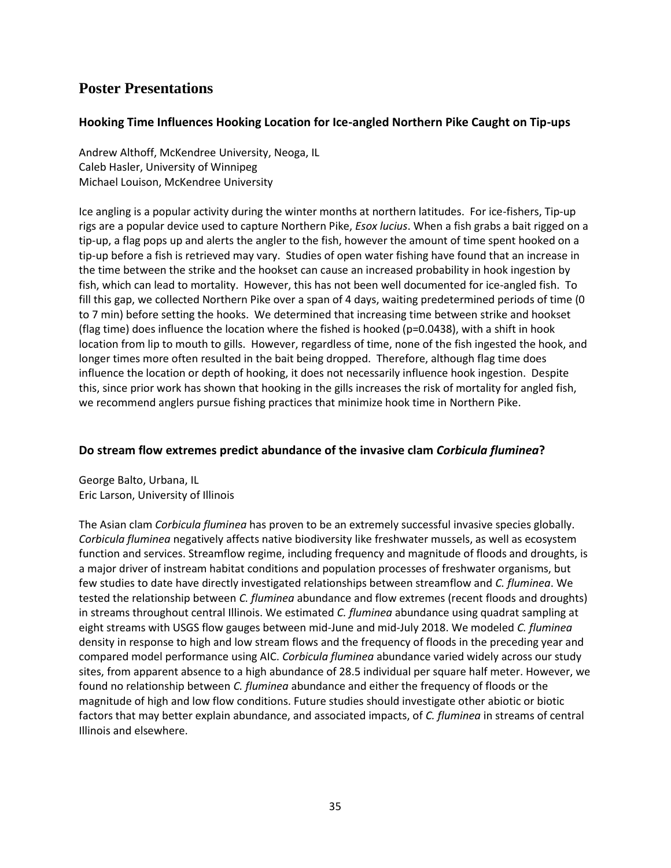# **Poster Presentations**

#### **Hooking Time Influences Hooking Location for Ice-angled Northern Pike Caught on Tip-ups**

Andrew Althoff, McKendree University, Neoga, IL Caleb Hasler, University of Winnipeg Michael Louison, McKendree University

Ice angling is a popular activity during the winter months at northern latitudes. For ice-fishers, Tip-up rigs are a popular device used to capture Northern Pike, *Esox lucius*. When a fish grabs a bait rigged on a tip-up, a flag pops up and alerts the angler to the fish, however the amount of time spent hooked on a tip-up before a fish is retrieved may vary. Studies of open water fishing have found that an increase in the time between the strike and the hookset can cause an increased probability in hook ingestion by fish, which can lead to mortality. However, this has not been well documented for ice-angled fish. To fill this gap, we collected Northern Pike over a span of 4 days, waiting predetermined periods of time (0 to 7 min) before setting the hooks. We determined that increasing time between strike and hookset (flag time) does influence the location where the fished is hooked (p=0.0438), with a shift in hook location from lip to mouth to gills. However, regardless of time, none of the fish ingested the hook, and longer times more often resulted in the bait being dropped. Therefore, although flag time does influence the location or depth of hooking, it does not necessarily influence hook ingestion. Despite this, since prior work has shown that hooking in the gills increases the risk of mortality for angled fish, we recommend anglers pursue fishing practices that minimize hook time in Northern Pike.

#### **Do stream flow extremes predict abundance of the invasive clam** *Corbicula fluminea***?**

George Balto, Urbana, IL Eric Larson, University of Illinois

The Asian clam *Corbicula fluminea* has proven to be an extremely successful invasive species globally. *Corbicula fluminea* negatively affects native biodiversity like freshwater mussels, as well as ecosystem function and services. Streamflow regime, including frequency and magnitude of floods and droughts, is a major driver of instream habitat conditions and population processes of freshwater organisms, but few studies to date have directly investigated relationships between streamflow and *C. fluminea*. We tested the relationship between *C. fluminea* abundance and flow extremes (recent floods and droughts) in streams throughout central Illinois. We estimated *C. fluminea* abundance using quadrat sampling at eight streams with USGS flow gauges between mid-June and mid-July 2018. We modeled *C. fluminea* density in response to high and low stream flows and the frequency of floods in the preceding year and compared model performance using AIC. *Corbicula fluminea* abundance varied widely across our study sites, from apparent absence to a high abundance of 28.5 individual per square half meter. However, we found no relationship between *C. fluminea* abundance and either the frequency of floods or the magnitude of high and low flow conditions. Future studies should investigate other abiotic or biotic factors that may better explain abundance, and associated impacts, of *C. fluminea* in streams of central Illinois and elsewhere.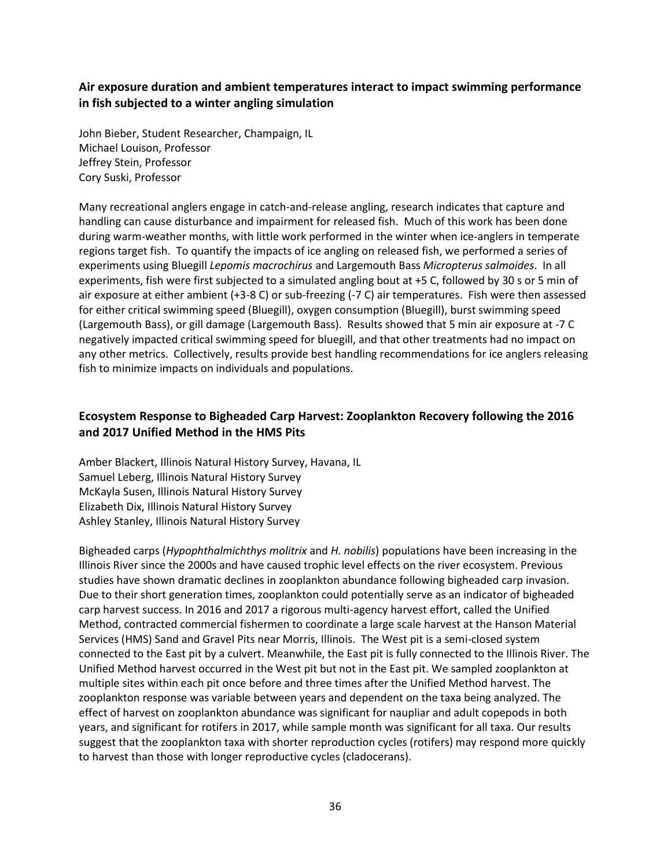### **Air exposure duration and ambient temperatures interact to impact swimming performance in fish subjected to a winter angling simulation**

John Bieber, Student Researcher, Champaign, IL Michael Louison, Professor Jeffrey Stein, Professor Cory Suski, Professor

Many recreational anglers engage in catch-and-release angling, research indicates that capture and handling can cause disturbance and impairment for released fish. Much of this work has been done during warm-weather months, with little work performed in the winter when ice-anglers in temperate regions target fish. To quantify the impacts of ice angling on released fish, we performed a series of experiments using Bluegill *Lepomis macrochirus* and Largemouth Bass *Micropterus salmoides*. In all experiments, fish were first subjected to a simulated angling bout at +5 C, followed by 30 s or 5 min of air exposure at either ambient (+3-8 C) or sub-freezing (-7 C) air temperatures. Fish were then assessed for either critical swimming speed (Bluegill), oxygen consumption (Bluegill), burst swimming speed (Largemouth Bass), or gill damage (Largemouth Bass). Results showed that 5 min air exposure at -7 C negatively impacted critical swimming speed for bluegill, and that other treatments had no impact on any other metrics. Collectively, results provide best handling recommendations for ice anglers releasing fish to minimize impacts on individuals and populations.

### **Ecosystem Response to Bigheaded Carp Harvest: Zooplankton Recovery following the 2016 and 2017 Unified Method in the HMS Pits**

Amber Blackert, Illinois Natural History Survey, Havana, IL Samuel Leberg, Illinois Natural History Survey McKayla Susen, Illinois Natural History Survey Elizabeth Dix, Illinois Natural History Survey Ashley Stanley, Illinois Natural History Survey

Bigheaded carps (*Hypophthalmichthys molitrix* and *H. nobilis*) populations have been increasing in the Illinois River since the 2000s and have caused trophic level effects on the river ecosystem. Previous studies have shown dramatic declines in zooplankton abundance following bigheaded carp invasion. Due to their short generation times, zooplankton could potentially serve as an indicator of bigheaded carp harvest success. In 2016 and 2017 a rigorous multi-agency harvest effort, called the Unified Method, contracted commercial fishermen to coordinate a large scale harvest at the Hanson Material Services (HMS) Sand and Gravel Pits near Morris, Illinois. The West pit is a semi-closed system connected to the East pit by a culvert. Meanwhile, the East pit is fully connected to the Illinois River. The Unified Method harvest occurred in the West pit but not in the East pit. We sampled zooplankton at multiple sites within each pit once before and three times after the Unified Method harvest. The zooplankton response was variable between years and dependent on the taxa being analyzed. The effect of harvest on zooplankton abundance was significant for naupliar and adult copepods in both years, and significant for rotifers in 2017, while sample month was significant for all taxa. Our results suggest that the zooplankton taxa with shorter reproduction cycles (rotifers) may respond more quickly to harvest than those with longer reproductive cycles (cladocerans).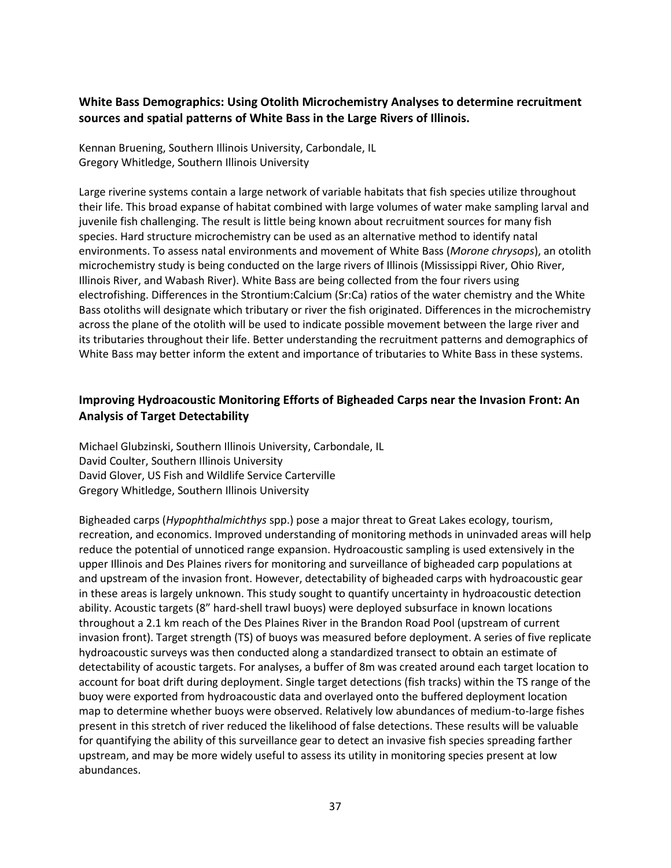## **White Bass Demographics: Using Otolith Microchemistry Analyses to determine recruitment sources and spatial patterns of White Bass in the Large Rivers of Illinois.**

Kennan Bruening, Southern Illinois University, Carbondale, IL Gregory Whitledge, Southern Illinois University

Large riverine systems contain a large network of variable habitats that fish species utilize throughout their life. This broad expanse of habitat combined with large volumes of water make sampling larval and juvenile fish challenging. The result is little being known about recruitment sources for many fish species. Hard structure microchemistry can be used as an alternative method to identify natal environments. To assess natal environments and movement of White Bass (*Morone chrysops*), an otolith microchemistry study is being conducted on the large rivers of Illinois (Mississippi River, Ohio River, Illinois River, and Wabash River). White Bass are being collected from the four rivers using electrofishing. Differences in the Strontium:Calcium (Sr:Ca) ratios of the water chemistry and the White Bass otoliths will designate which tributary or river the fish originated. Differences in the microchemistry across the plane of the otolith will be used to indicate possible movement between the large river and its tributaries throughout their life. Better understanding the recruitment patterns and demographics of White Bass may better inform the extent and importance of tributaries to White Bass in these systems.

## **Improving Hydroacoustic Monitoring Efforts of Bigheaded Carps near the Invasion Front: An Analysis of Target Detectability**

Michael Glubzinski, Southern Illinois University, Carbondale, IL David Coulter, Southern Illinois University David Glover, US Fish and Wildlife Service Carterville Gregory Whitledge, Southern Illinois University

Bigheaded carps (*Hypophthalmichthys* spp.) pose a major threat to Great Lakes ecology, tourism, recreation, and economics. Improved understanding of monitoring methods in uninvaded areas will help reduce the potential of unnoticed range expansion. Hydroacoustic sampling is used extensively in the upper Illinois and Des Plaines rivers for monitoring and surveillance of bigheaded carp populations at and upstream of the invasion front. However, detectability of bigheaded carps with hydroacoustic gear in these areas is largely unknown. This study sought to quantify uncertainty in hydroacoustic detection ability. Acoustic targets (8" hard-shell trawl buoys) were deployed subsurface in known locations throughout a 2.1 km reach of the Des Plaines River in the Brandon Road Pool (upstream of current invasion front). Target strength (TS) of buoys was measured before deployment. A series of five replicate hydroacoustic surveys was then conducted along a standardized transect to obtain an estimate of detectability of acoustic targets. For analyses, a buffer of 8m was created around each target location to account for boat drift during deployment. Single target detections (fish tracks) within the TS range of the buoy were exported from hydroacoustic data and overlayed onto the buffered deployment location map to determine whether buoys were observed. Relatively low abundances of medium-to-large fishes present in this stretch of river reduced the likelihood of false detections. These results will be valuable for quantifying the ability of this surveillance gear to detect an invasive fish species spreading farther upstream, and may be more widely useful to assess its utility in monitoring species present at low abundances.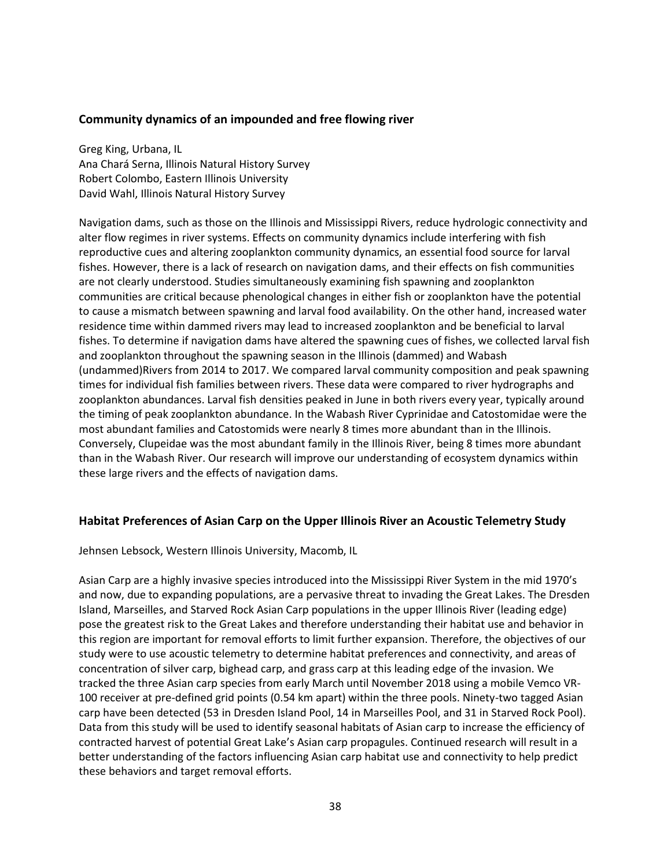#### **Community dynamics of an impounded and free flowing river**

Greg King, Urbana, IL Ana Chará Serna, Illinois Natural History Survey Robert Colombo, Eastern Illinois University David Wahl, Illinois Natural History Survey

Navigation dams, such as those on the Illinois and Mississippi Rivers, reduce hydrologic connectivity and alter flow regimes in river systems. Effects on community dynamics include interfering with fish reproductive cues and altering zooplankton community dynamics, an essential food source for larval fishes. However, there is a lack of research on navigation dams, and their effects on fish communities are not clearly understood. Studies simultaneously examining fish spawning and zooplankton communities are critical because phenological changes in either fish or zooplankton have the potential to cause a mismatch between spawning and larval food availability. On the other hand, increased water residence time within dammed rivers may lead to increased zooplankton and be beneficial to larval fishes. To determine if navigation dams have altered the spawning cues of fishes, we collected larval fish and zooplankton throughout the spawning season in the Illinois (dammed) and Wabash (undammed)Rivers from 2014 to 2017. We compared larval community composition and peak spawning times for individual fish families between rivers. These data were compared to river hydrographs and zooplankton abundances. Larval fish densities peaked in June in both rivers every year, typically around the timing of peak zooplankton abundance. In the Wabash River Cyprinidae and Catostomidae were the most abundant families and Catostomids were nearly 8 times more abundant than in the Illinois. Conversely, Clupeidae was the most abundant family in the Illinois River, being 8 times more abundant than in the Wabash River. Our research will improve our understanding of ecosystem dynamics within these large rivers and the effects of navigation dams.

#### **Habitat Preferences of Asian Carp on the Upper Illinois River an Acoustic Telemetry Study**

Jehnsen Lebsock, Western Illinois University, Macomb, IL

Asian Carp are a highly invasive species introduced into the Mississippi River System in the mid 1970's and now, due to expanding populations, are a pervasive threat to invading the Great Lakes. The Dresden Island, Marseilles, and Starved Rock Asian Carp populations in the upper Illinois River (leading edge) pose the greatest risk to the Great Lakes and therefore understanding their habitat use and behavior in this region are important for removal efforts to limit further expansion. Therefore, the objectives of our study were to use acoustic telemetry to determine habitat preferences and connectivity, and areas of concentration of silver carp, bighead carp, and grass carp at this leading edge of the invasion. We tracked the three Asian carp species from early March until November 2018 using a mobile Vemco VR-100 receiver at pre-defined grid points (0.54 km apart) within the three pools. Ninety-two tagged Asian carp have been detected (53 in Dresden Island Pool, 14 in Marseilles Pool, and 31 in Starved Rock Pool). Data from this study will be used to identify seasonal habitats of Asian carp to increase the efficiency of contracted harvest of potential Great Lake's Asian carp propagules. Continued research will result in a better understanding of the factors influencing Asian carp habitat use and connectivity to help predict these behaviors and target removal efforts.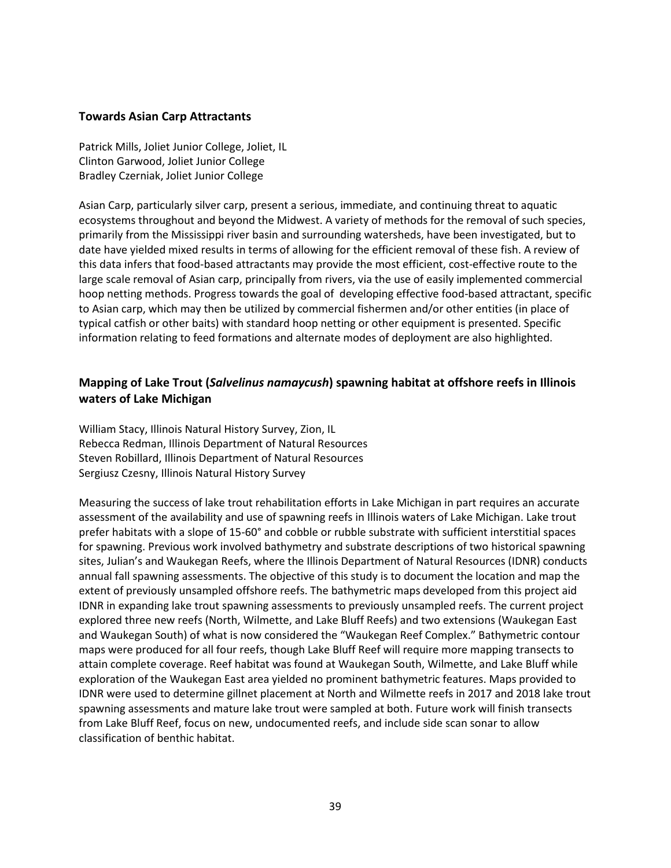#### **Towards Asian Carp Attractants**

Patrick Mills, Joliet Junior College, Joliet, IL Clinton Garwood, Joliet Junior College Bradley Czerniak, Joliet Junior College

Asian Carp, particularly silver carp, present a serious, immediate, and continuing threat to aquatic ecosystems throughout and beyond the Midwest. A variety of methods for the removal of such species, primarily from the Mississippi river basin and surrounding watersheds, have been investigated, but to date have yielded mixed results in terms of allowing for the efficient removal of these fish. A review of this data infers that food-based attractants may provide the most efficient, cost-effective route to the large scale removal of Asian carp, principally from rivers, via the use of easily implemented commercial hoop netting methods. Progress towards the goal of developing effective food-based attractant, specific to Asian carp, which may then be utilized by commercial fishermen and/or other entities (in place of typical catfish or other baits) with standard hoop netting or other equipment is presented. Specific information relating to feed formations and alternate modes of deployment are also highlighted.

## **Mapping of Lake Trout (***Salvelinus namaycush***) spawning habitat at offshore reefs in Illinois waters of Lake Michigan**

William Stacy, Illinois Natural History Survey, Zion, IL Rebecca Redman, Illinois Department of Natural Resources Steven Robillard, Illinois Department of Natural Resources Sergiusz Czesny, Illinois Natural History Survey

Measuring the success of lake trout rehabilitation efforts in Lake Michigan in part requires an accurate assessment of the availability and use of spawning reefs in Illinois waters of Lake Michigan. Lake trout prefer habitats with a slope of 15-60° and cobble or rubble substrate with sufficient interstitial spaces for spawning. Previous work involved bathymetry and substrate descriptions of two historical spawning sites, Julian's and Waukegan Reefs, where the Illinois Department of Natural Resources (IDNR) conducts annual fall spawning assessments. The objective of this study is to document the location and map the extent of previously unsampled offshore reefs. The bathymetric maps developed from this project aid IDNR in expanding lake trout spawning assessments to previously unsampled reefs. The current project explored three new reefs (North, Wilmette, and Lake Bluff Reefs) and two extensions (Waukegan East and Waukegan South) of what is now considered the "Waukegan Reef Complex." Bathymetric contour maps were produced for all four reefs, though Lake Bluff Reef will require more mapping transects to attain complete coverage. Reef habitat was found at Waukegan South, Wilmette, and Lake Bluff while exploration of the Waukegan East area yielded no prominent bathymetric features. Maps provided to IDNR were used to determine gillnet placement at North and Wilmette reefs in 2017 and 2018 lake trout spawning assessments and mature lake trout were sampled at both. Future work will finish transects from Lake Bluff Reef, focus on new, undocumented reefs, and include side scan sonar to allow classification of benthic habitat.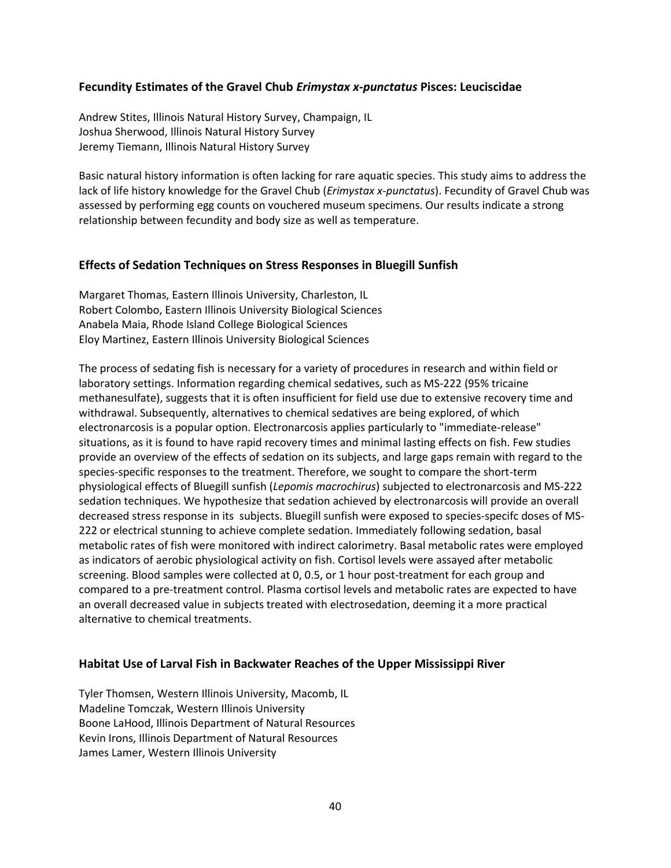#### **Fecundity Estimates of the Gravel Chub** *Erimystax x-punctatus* **Pisces: Leuciscidae**

Andrew Stites, Illinois Natural History Survey, Champaign, IL Joshua Sherwood, Illinois Natural History Survey Jeremy Tiemann, Illinois Natural History Survey

Basic natural history information is often lacking for rare aquatic species. This study aims to address the lack of life history knowledge for the Gravel Chub (*Erimystax x-punctatus*). Fecundity of Gravel Chub was assessed by performing egg counts on vouchered museum specimens. Our results indicate a strong relationship between fecundity and body size as well as temperature.

#### **Effects of Sedation Techniques on Stress Responses in Bluegill Sunfish**

Margaret Thomas, Eastern Illinois University, Charleston, IL Robert Colombo, Eastern Illinois University Biological Sciences Anabela Maia, Rhode Island College Biological Sciences Eloy Martinez, Eastern Illinois University Biological Sciences

The process of sedating fish is necessary for a variety of procedures in research and within field or laboratory settings. Information regarding chemical sedatives, such as MS-222 (95% tricaine methanesulfate), suggests that it is often insufficient for field use due to extensive recovery time and withdrawal. Subsequently, alternatives to chemical sedatives are being explored, of which electronarcosis is a popular option. Electronarcosis applies particularly to "immediate-release" situations, as it is found to have rapid recovery times and minimal lasting effects on fish. Few studies provide an overview of the effects of sedation on its subjects, and large gaps remain with regard to the species-specific responses to the treatment. Therefore, we sought to compare the short-term physiological effects of Bluegill sunfish (*Lepomis macrochirus*) subjected to electronarcosis and MS-222 sedation techniques. We hypothesize that sedation achieved by electronarcosis will provide an overall decreased stress response in its subjects. Bluegill sunfish were exposed to species-specifc doses of MS-222 or electrical stunning to achieve complete sedation. Immediately following sedation, basal metabolic rates of fish were monitored with indirect calorimetry. Basal metabolic rates were employed as indicators of aerobic physiological activity on fish. Cortisol levels were assayed after metabolic screening. Blood samples were collected at 0, 0.5, or 1 hour post-treatment for each group and compared to a pre-treatment control. Plasma cortisol levels and metabolic rates are expected to have an overall decreased value in subjects treated with electrosedation, deeming it a more practical alternative to chemical treatments.

#### **Habitat Use of Larval Fish in Backwater Reaches of the Upper Mississippi River**

Tyler Thomsen, Western Illinois University, Macomb, IL Madeline Tomczak, Western Illinois University Boone LaHood, Illinois Department of Natural Resources Kevin Irons, Illinois Department of Natural Resources James Lamer, Western Illinois University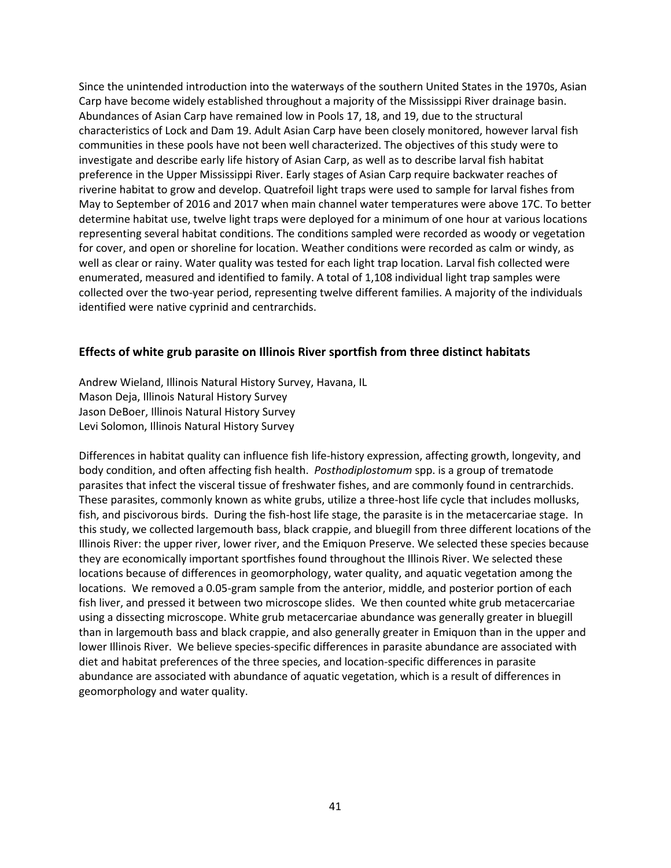Since the unintended introduction into the waterways of the southern United States in the 1970s, Asian Carp have become widely established throughout a majority of the Mississippi River drainage basin. Abundances of Asian Carp have remained low in Pools 17, 18, and 19, due to the structural characteristics of Lock and Dam 19. Adult Asian Carp have been closely monitored, however larval fish communities in these pools have not been well characterized. The objectives of this study were to investigate and describe early life history of Asian Carp, as well as to describe larval fish habitat preference in the Upper Mississippi River. Early stages of Asian Carp require backwater reaches of riverine habitat to grow and develop. Quatrefoil light traps were used to sample for larval fishes from May to September of 2016 and 2017 when main channel water temperatures were above 17C. To better determine habitat use, twelve light traps were deployed for a minimum of one hour at various locations representing several habitat conditions. The conditions sampled were recorded as woody or vegetation for cover, and open or shoreline for location. Weather conditions were recorded as calm or windy, as well as clear or rainy. Water quality was tested for each light trap location. Larval fish collected were enumerated, measured and identified to family. A total of 1,108 individual light trap samples were collected over the two-year period, representing twelve different families. A majority of the individuals identified were native cyprinid and centrarchids.

#### **Effects of white grub parasite on Illinois River sportfish from three distinct habitats**

Andrew Wieland, Illinois Natural History Survey, Havana, IL Mason Deja, Illinois Natural History Survey Jason DeBoer, Illinois Natural History Survey Levi Solomon, Illinois Natural History Survey

Differences in habitat quality can influence fish life-history expression, affecting growth, longevity, and body condition, and often affecting fish health. *Posthodiplostomum* spp. is a group of trematode parasites that infect the visceral tissue of freshwater fishes, and are commonly found in centrarchids. These parasites, commonly known as white grubs, utilize a three-host life cycle that includes mollusks, fish, and piscivorous birds. During the fish-host life stage, the parasite is in the metacercariae stage. In this study, we collected largemouth bass, black crappie, and bluegill from three different locations of the Illinois River: the upper river, lower river, and the Emiquon Preserve. We selected these species because they are economically important sportfishes found throughout the Illinois River. We selected these locations because of differences in geomorphology, water quality, and aquatic vegetation among the locations. We removed a 0.05-gram sample from the anterior, middle, and posterior portion of each fish liver, and pressed it between two microscope slides. We then counted white grub metacercariae using a dissecting microscope. White grub metacercariae abundance was generally greater in bluegill than in largemouth bass and black crappie, and also generally greater in Emiquon than in the upper and lower Illinois River. We believe species-specific differences in parasite abundance are associated with diet and habitat preferences of the three species, and location-specific differences in parasite abundance are associated with abundance of aquatic vegetation, which is a result of differences in geomorphology and water quality.